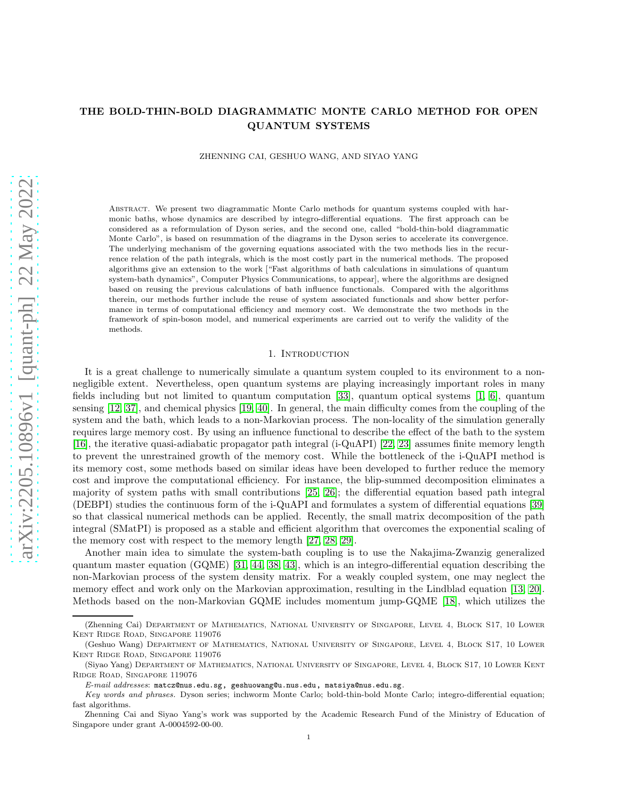# THE BOLD-THIN-BOLD DIAGRAMMATIC MONTE CARLO METHOD FOR OPEN QUANTUM SYSTEMS

ZHENNING CAI, GESHUO WANG, AND SIYAO YANG

Abstract. We present two diagrammatic Monte Carlo methods for quantum systems coupled with harmonic baths, whose dynamics are described by integro-differential equations. The first approach can be considered as a reformulation of Dyson series, and the second one, called "bold-thin-bold diagrammatic Monte Carlo", is based on resummation of the diagrams in the Dyson series to accelerate its convergence. The underlying mechanism of the governing equations associated with the two methods lies in the recurrence relation of the path integrals, which is the most costly part in the numerical methods. The proposed algorithms give an extension to the work ["Fast algorithms of bath calculations in simulations of quantum system-bath dynamics", Computer Physics Communications, to appear], where the algorithms are designed based on reusing the previous calculations of bath influence functionals. Compared with the algorithms therein, our methods further include the reuse of system associated functionals and show better performance in terms of computational efficiency and memory cost. We demonstrate the two methods in the framework of spin-boson model, and numerical experiments are carried out to verify the validity of the methods.

### 1. INTRODUCTION

It is a great challenge to numerically simulate a quantum system coupled to its environment to a nonnegligible extent. Nevertheless, open quantum systems are playing increasingly important roles in many fields including but not limited to quantum computation [\[33\]](#page-22-0), quantum optical systems [\[1,](#page-21-0) [6\]](#page-21-1), quantum sensing [\[12,](#page-22-1) [37\]](#page-22-2), and chemical physics [\[19,](#page-22-3) [40\]](#page-22-4). In general, the main difficulty comes from the coupling of the system and the bath, which leads to a non-Markovian process. The non-locality of the simulation generally requires large memory cost. By using an influence functional to describe the effect of the bath to the system [\[16\]](#page-22-5), the iterative quasi-adiabatic propagator path integral (i-QuAPI) [\[22,](#page-22-6) [23\]](#page-22-7) assumes finite memory length to prevent the unrestrained growth of the memory cost. While the bottleneck of the i-QuAPI method is its memory cost, some methods based on similar ideas have been developed to further reduce the memory cost and improve the computational efficiency. For instance, the blip-summed decomposition eliminates a majority of system paths with small contributions [\[25,](#page-22-8) [26\]](#page-22-9); the differential equation based path integral (DEBPI) studies the continuous form of the i-QuAPI and formulates a system of differential equations [\[39\]](#page-22-10) so that classical numerical methods can be applied. Recently, the small matrix decomposition of the path integral (SMatPI) is proposed as a stable and efficient algorithm that overcomes the exponential scaling of the memory cost with respect to the memory length [\[27,](#page-22-11) [28,](#page-22-12) [29\]](#page-22-13).

Another main idea to simulate the system-bath coupling is to use the Nakajima-Zwanzig generalized quantum master equation (GQME) [\[31,](#page-22-14) [44,](#page-23-0) [38,](#page-22-15) [43\]](#page-23-1), which is an integro-differential equation describing the non-Markovian process of the system density matrix. For a weakly coupled system, one may neglect the memory effect and work only on the Markovian approximation, resulting in the Lindblad equation [\[13,](#page-22-16) [20\]](#page-22-17). Methods based on the non-Markovian GQME includes momentum jump-GQME [\[18\]](#page-22-18), which utilizes the

<sup>(</sup>Zhenning Cai) Department of Mathematics, National University of Singapore, Level 4, Block S17, 10 Lower Kent Ridge Road, Singapore 119076

<sup>(</sup>Geshuo Wang) Department of Mathematics, National University of Singapore, Level 4, Block S17, 10 Lower Kent Ridge Road, Singapore 119076

<sup>(</sup>Siyao Yang) Department of Mathematics, National University of Singapore, Level 4, Block S17, 10 Lower Kent Ridge Road, Singapore 119076

*E-mail addresses*: matcz@nus.edu.sg, geshuowang@u.nus.edu, matsiya@nus.edu.sg.

*Key words and phrases.* Dyson series; inchworm Monte Carlo; bold-thin-bold Monte Carlo; integro-differential equation; fast algorithms.

Zhenning Cai and Siyao Yang's work was supported by the Academic Research Fund of the Ministry of Education of Singapore under grant A-0004592-00-00.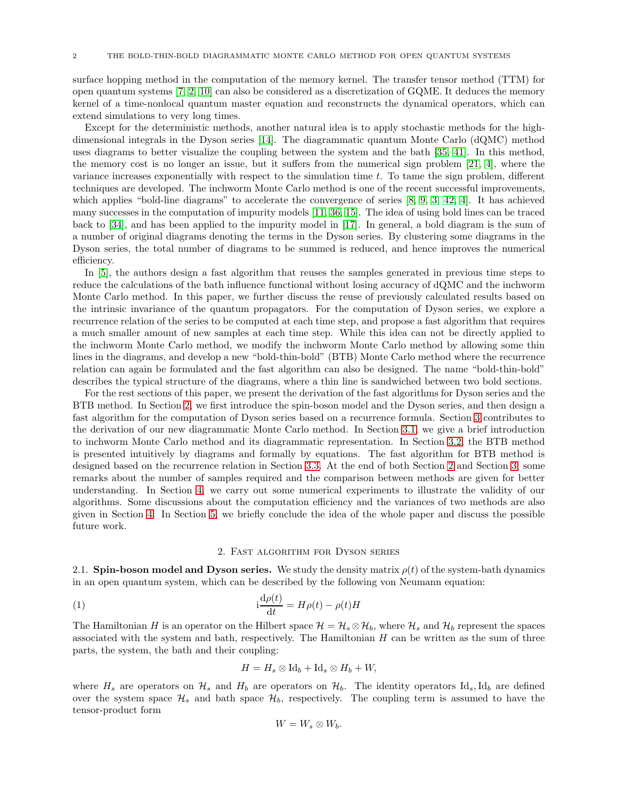surface hopping method in the computation of the memory kernel. The transfer tensor method (TTM) for open quantum systems [\[7,](#page-22-19) [2,](#page-21-2) [10\]](#page-22-20) can also be considered as a discretization of GQME. It deduces the memory kernel of a time-nonlocal quantum master equation and reconstructs the dynamical operators, which can extend simulations to very long times.

Except for the deterministic methods, another natural idea is to apply stochastic methods for the highdimensional integrals in the Dyson series [\[14\]](#page-22-21). The diagrammatic quantum Monte Carlo (dQMC) method uses diagrams to better visualize the coupling between the system and the bath [\[35,](#page-22-22) [41\]](#page-22-23). In this method, the memory cost is no longer an issue, but it suffers from the numerical sign problem [\[21,](#page-22-24) [4\]](#page-21-3), where the variance increases exponentially with respect to the simulation time  $t$ . To tame the sign problem, different techniques are developed. The inchworm Monte Carlo method is one of the recent successful improvements, which applies "bold-line diagrams" to accelerate the convergence of series [\[8,](#page-22-25) [9,](#page-22-26) [3,](#page-21-4) [42,](#page-22-27) [4\]](#page-21-3). It has achieved many successes in the computation of impurity models [\[11,](#page-22-28) [36,](#page-22-29) [15\]](#page-22-30). The idea of using bold lines can be traced back to [\[34\]](#page-22-31), and has been applied to the impurity model in [\[17\]](#page-22-32). In general, a bold diagram is the sum of a number of original diagrams denoting the terms in the Dyson series. By clustering some diagrams in the Dyson series, the total number of diagrams to be summed is reduced, and hence improves the numerical efficiency.

In [\[5\]](#page-21-5), the authors design a fast algorithm that reuses the samples generated in previous time steps to reduce the calculations of the bath influence functional without losing accuracy of dQMC and the inchworm Monte Carlo method. In this paper, we further discuss the reuse of previously calculated results based on the intrinsic invariance of the quantum propagators. For the computation of Dyson series, we explore a recurrence relation of the series to be computed at each time step, and propose a fast algorithm that requires a much smaller amount of new samples at each time step. While this idea can not be directly applied to the inchworm Monte Carlo method, we modify the inchworm Monte Carlo method by allowing some thin lines in the diagrams, and develop a new "bold-thin-bold" (BTB) Monte Carlo method where the recurrence relation can again be formulated and the fast algorithm can also be designed. The name "bold-thin-bold" describes the typical structure of the diagrams, where a thin line is sandwiched between two bold sections.

For the rest sections of this paper, we present the derivation of the fast algorithms for Dyson series and the BTB method. In Section [2,](#page-1-0) we first introduce the spin-boson model and the Dyson series, and then design a fast algorithm for the computation of Dyson series based on a recurrence formula. Section [3](#page-9-0) contributes to the derivation of our new diagrammatic Monte Carlo method. In Section [3.1,](#page-9-1) we give a brief introduction to inchworm Monte Carlo method and its diagrammatic representation. In Section [3.2,](#page-12-0) the BTB method is presented intuitively by diagrams and formally by equations. The fast algorithm for BTB method is designed based on the recurrence relation in Section [3.3.](#page-15-0) At the end of both Section [2](#page-1-0) and Section [3,](#page-9-0) some remarks about the number of samples required and the comparison between methods are given for better understanding. In Section [4,](#page-18-0) we carry out some numerical experiments to illustrate the validity of our algorithms. Some discussions about the computation efficiency and the variances of two methods are also given in Section [4.](#page-18-0) In Section [5,](#page-21-6) we briefly conclude the idea of the whole paper and discuss the possible future work.

## 2. Fast algorithm for Dyson series

<span id="page-1-0"></span>2.1. Spin-boson model and Dyson series. We study the density matrix  $\rho(t)$  of the system-bath dynamics in an open quantum system, which can be described by the following von Neumann equation:

(1) 
$$
i\frac{d\rho(t)}{dt} = H\rho(t) - \rho(t)H
$$

The Hamiltonian H is an operator on the Hilbert space  $\mathcal{H} = \mathcal{H}_s \otimes \mathcal{H}_b$ , where  $\mathcal{H}_s$  and  $\mathcal{H}_b$  represent the spaces associated with the system and bath, respectively. The Hamiltonian  $H$  can be written as the sum of three parts, the system, the bath and their coupling:

<span id="page-1-1"></span>
$$
H = H_s \otimes \text{Id}_b + \text{Id}_s \otimes H_b + W,
$$

where  $H_s$  are operators on  $\mathcal{H}_s$  and  $H_b$  are operators on  $\mathcal{H}_b$ . The identity operators Id<sub>s</sub>,Id<sub>b</sub> are defined over the system space  $\mathcal{H}_s$  and bath space  $\mathcal{H}_b$ , respectively. The coupling term is assumed to have the tensor-product form

$$
W=W_s\otimes W_b.
$$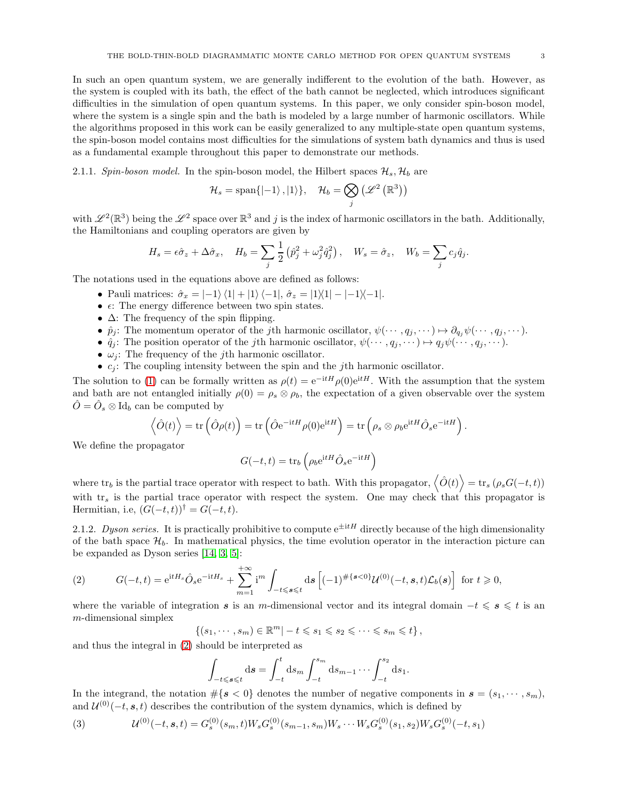In such an open quantum system, we are generally indifferent to the evolution of the bath. However, as the system is coupled with its bath, the effect of the bath cannot be neglected, which introduces significant difficulties in the simulation of open quantum systems. In this paper, we only consider spin-boson model, where the system is a single spin and the bath is modeled by a large number of harmonic oscillators. While the algorithms proposed in this work can be easily generalized to any multiple-state open quantum systems, the spin-boson model contains most difficulties for the simulations of system bath dynamics and thus is used as a fundamental example throughout this paper to demonstrate our methods.

2.1.1. Spin-boson model. In the spin-boson model, the Hilbert spaces  $\mathcal{H}_s$ ,  $\mathcal{H}_b$  are

$$
\mathcal{H}_s = \text{span}\{\ket{-1},\ket{1}\}, \quad \mathcal{H}_b = \bigotimes_j \left(\mathscr{L}^2\left(\mathbb{R}^3\right)\right)
$$

with  $\mathscr{L}^2(\mathbb{R}^3)$  being the  $\mathscr{L}^2$  space over  $\mathbb{R}^3$  and j is the index of harmonic oscillators in the bath. Additionally, the Hamiltonians and coupling operators are given by

$$
H_s = \epsilon \hat{\sigma}_z + \Delta \hat{\sigma}_x, \quad H_b = \sum_j \frac{1}{2} \left( \hat{p}_j^2 + \omega_j^2 \hat{q}_j^2 \right), \quad W_s = \hat{\sigma}_z, \quad W_b = \sum_j c_j \hat{q}_j.
$$

The notations used in the equations above are defined as follows:

- Pauli matrices:  $\hat{\sigma}_x = \langle -1 \rangle \langle 1 \rangle + \langle 1 \rangle \langle -1 \rangle$ ,  $\hat{\sigma}_z = \langle 1 \rangle \langle 1 \rangle \langle -1 \rangle \langle -1 \rangle$ .
- $\epsilon$ : The energy difference between two spin states.
- $\Delta$ : The frequency of the spin flipping.
- $\hat{p}_j$ : The momentum operator of the *j*th harmonic oscillator,  $\psi(\cdots, q_j, \cdots) \mapsto \partial_{q_j}\psi(\cdots, q_j, \cdots)$ .
- $\hat{q}_j$ : The position operator of the *j*th harmonic oscillator,  $\psi(\cdots, q_j, \cdots) \mapsto q_j \psi(\cdots, q_j, \cdots)$ .
- $\omega_i$ : The frequency of the *j*th harmonic oscillator.
- $c_j$ : The coupling intensity between the spin and the *j*th harmonic oscillator.

The solution to [\(1\)](#page-1-1) can be formally written as  $\rho(t) = e^{-itH}\rho(0)e^{itH}$ . With the assumption that the system and bath are not entangled initially  $\rho(0) = \rho_s \otimes \rho_b$ , the expectation of a given observable over the system  $\hat{O} = \hat{O}_s \otimes \text{Id}_b$  can be computed by

$$
\left\langle \hat{O}(t) \right\rangle = \text{tr}\left( \hat{O}\rho(t) \right) = \text{tr}\left( \hat{O}e^{-\text{i}tH}\rho(0)e^{\text{i}tH} \right) = \text{tr}\left( \rho_s \otimes \rho_b e^{\text{i}tH} \hat{O}_s e^{-\text{i}tH} \right).
$$

We define the propagator

$$
G(-t,t) = \text{tr}_b\left(\rho_b e^{\text{i}tH} \hat{O}_s e^{-\text{i}tH}\right)
$$

where  $tr_b$  is the partial trace operator with respect to bath. With this propagator,  $\langle \hat{O}(t) \rangle = tr_s (\rho_s G(-t,t))$ with  $tr_s$  is the partial trace operator with respect the system. One may check that this propagator is Hermitian, i.e,  $(G(-t,t))^{\dagger} = G(-t,t)$ .

2.1.2. Dyson series. It is practically prohibitive to compute  $e^{\pm itH}$  directly because of the high dimensionality of the bath space  $\mathcal{H}_b$ . In mathematical physics, the time evolution operator in the interaction picture can be expanded as Dyson series [\[14,](#page-22-21) [3,](#page-21-4) [5\]](#page-21-5):

<span id="page-2-0"></span>(2) 
$$
G(-t,t) = e^{itH_s} \hat{O}_s e^{-itH_s} + \sum_{m=1}^{+\infty} i^m \int_{-t \le s \le t} ds \left[ (-1)^{\#\{s < 0\}} \mathcal{U}^{(0)}(-t,s,t) \mathcal{L}_b(s) \right] \text{ for } t \ge 0,
$$

where the variable of integration s is an m-dimensional vector and its integral domain  $-t \leq s \leq t$  is an m-dimensional simplex

$$
\{(s_1,\dots,s_m)\in\mathbb{R}^m|-t\leqslant s_1\leqslant s_2\leqslant\dots\leqslant s_m\leqslant t\},\
$$

and thus the integral in [\(2\)](#page-2-0) should be interpreted as

$$
\int_{-t \leq s \leq t} ds = \int_{-t}^{t} ds_m \int_{-t}^{s_m} ds_{m-1} \cdots \int_{-t}^{s_2} ds_1.
$$

In the integrand, the notation  $\#\{s < 0\}$  denotes the number of negative components in  $s = (s_1, \dots, s_m)$ , and  $\mathcal{U}^{(0)}(-t, \mathbf{s}, t)$  describes the contribution of the system dynamics, which is defined by

<span id="page-2-1"></span>(3) 
$$
\mathcal{U}^{(0)}(-t,s,t) = G_s^{(0)}(s_m,t)W_s G_s^{(0)}(s_{m-1},s_m)W_s \cdots W_s G_s^{(0)}(s_1,s_2)W_s G_s^{(0)}(-t,s_1)
$$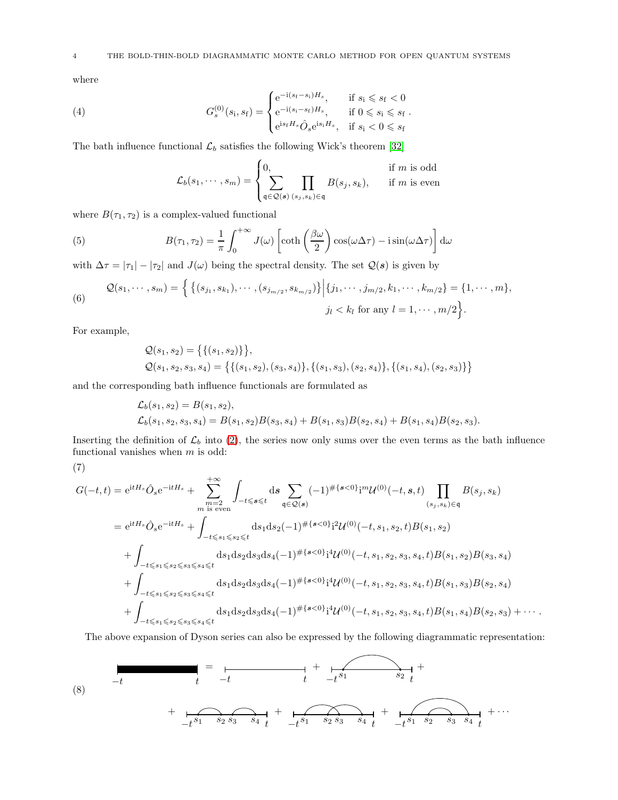where

(4) 
$$
G_s^{(0)}(s_i, s_f) = \begin{cases} e^{-i(s_f - s_i)H_s}, & \text{if } s_i \le s_f < 0\\ e^{-i(s_i - s_f)H_s}, & \text{if } 0 \le s_i \le s_f\\ e^{is_f H_s} \hat{O}_s e^{is_i H_s}, & \text{if } s_i < 0 \le s_f \end{cases}.
$$

The bath influence functional  $\mathcal{L}_b$  satisfies the following Wick's theorem [\[32\]](#page-22-33)

<span id="page-3-3"></span><span id="page-3-2"></span>
$$
\mathcal{L}_b(s_1, \dots, s_m) = \begin{cases} 0, & \text{if } m \text{ is odd} \\ \sum_{\mathfrak{q} \in \mathcal{Q}(s)} \prod_{(s_j, s_k) \in \mathfrak{q}} B(s_j, s_k), & \text{if } m \text{ is even} \end{cases}
$$

where  $B(\tau_1, \tau_2)$  is a complex-valued functional

(5) 
$$
B(\tau_1, \tau_2) = \frac{1}{\pi} \int_0^{+\infty} J(\omega) \left[ \coth\left(\frac{\beta \omega}{2}\right) \cos(\omega \Delta \tau) - i \sin(\omega \Delta \tau) \right] d\omega
$$

with  $\Delta \tau = |\tau_1| - |\tau_2|$  and  $J(\omega)$  being the spectral density. The set  $\mathcal{Q}(s)$  is given by

(6) 
$$
\mathcal{Q}(s_1,\dots,s_m) = \left\{ \left\{ (s_{j_1},s_{k_1}),\dots,(s_{j_{m/2}},s_{k_{m/2}}) \right\} \middle| \{j_1,\dots,j_{m/2},k_1,\dots,k_{m/2}\} = \{1,\dots,m\},
$$

$$
j_l < k_l \text{ for any } l = 1,\dots,m/2 \right\}.
$$

For example,

$$
Q(s_1, s_2) = \{ \{ (s_1, s_2) \} \},
$$
  

$$
Q(s_1, s_2, s_3, s_4) = \{ \{ (s_1, s_2), (s_3, s_4) \}, \{ (s_1, s_3), (s_2, s_4) \}, \{ (s_1, s_4), (s_2, s_3) \} \}
$$

and the corresponding bath influence functionals are formulated as

$$
\mathcal{L}_b(s_1, s_2) = B(s_1, s_2),
$$
  
\n
$$
\mathcal{L}_b(s_1, s_2, s_3, s_4) = B(s_1, s_2)B(s_3, s_4) + B(s_1, s_3)B(s_2, s_4) + B(s_1, s_4)B(s_2, s_3).
$$

Inserting the definition of  $\mathcal{L}_b$  into [\(2\)](#page-2-0), the series now only sums over the even terms as the bath influence functional vanishes when  $m$  is odd:

$$
(\overline{7})
$$

<span id="page-3-1"></span>
$$
G(-t,t) = e^{itH_s} \hat{O}_s e^{-itH_s} + \sum_{\substack{m=2 \ m \text{ is even}}}^{+\infty} \int_{-t \le s \le t} ds \sum_{\mathfrak{q} \in \mathcal{Q}(s)} (-1)^{\# \{s < 0\}} i^{m} \mathcal{U}^{(0)}(-t,s,t) \prod_{(s_j,s_k) \in \mathfrak{q}} B(s_j,s_k)
$$
  
\n
$$
= e^{itH_s} \hat{O}_s e^{-itH_s} + \int_{-t \le s_1 \le s_2 \le t} ds_1 ds_2 (-1)^{\# \{s < 0\}} i^{2} \mathcal{U}^{(0)}(-t,s_1,s_2,t) B(s_1,s_2)
$$
  
\n
$$
+ \int_{-t \le s_1 \le s_2 \le s_3 \le s_4 \le t} ds_1 ds_2 ds_3 ds_4 (-1)^{\# \{s < 0\}} i^{4} \mathcal{U}^{(0)}(-t,s_1,s_2,s_3,s_4,t) B(s_1,s_2) B(s_3,s_4)
$$
  
\n
$$
+ \int_{-t \le s_1 \le s_2 \le s_3 \le s_4 \le t} ds_1 ds_2 ds_3 ds_4 (-1)^{\# \{s < 0\}} i^{4} \mathcal{U}^{(0)}(-t,s_1,s_2,s_3,s_4,t) B(s_1,s_3) B(s_2,s_4)
$$
  
\n
$$
+ \int_{-t \le s_1 \le s_2 \le s_3 \le s_4 \le t} ds_1 ds_2 ds_3 ds_4 (-1)^{\# \{s < 0\}} i^{4} \mathcal{U}^{(0)}(-t,s_1,s_2,s_3,s_4,t) B(s_1,s_4) B(s_2,s_3) + \cdots
$$

The above expansion of Dyson series can also be expressed by the following diagrammatic representation:

<span id="page-3-0"></span>(8) 
$$
\frac{1}{t} = \frac{1}{t} + \frac{1}{t^{s_1}} + \frac{1}{t^{s_1}} + \cdots + \frac{1}{t^{s_1} s_2 s_3 s_4 t} + \frac{1}{t^{s_1} s_2 s_3 s_4 t} + \cdots
$$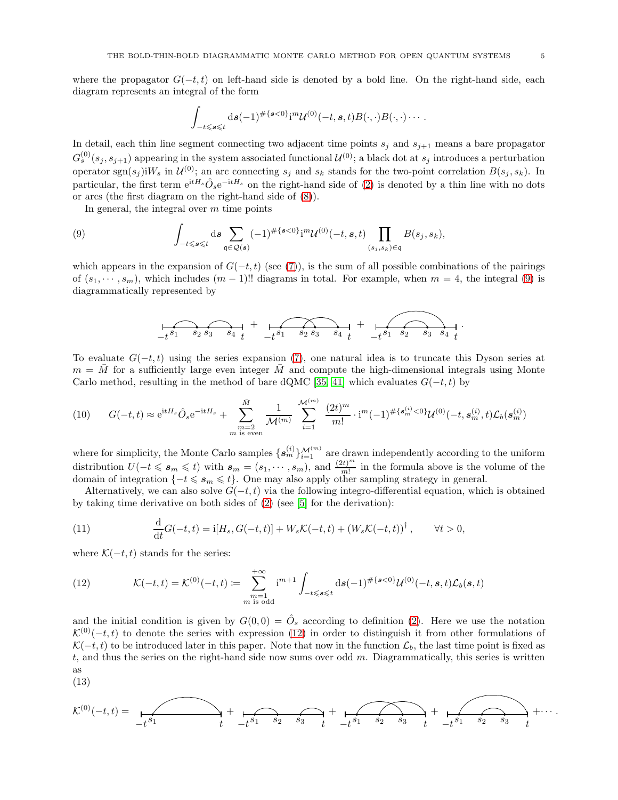where the propagator  $G(-t, t)$  on left-hand side is denoted by a bold line. On the right-hand side, each diagram represents an integral of the form

$$
\int_{-t\leqslant s\leqslant t} \mathrm{d}s (-1)^{\#\{s<0\}} i^{m} \mathcal{U}^{(0)}(-t,s,t) B(\cdot,\cdot) B(\cdot,\cdot) \cdots.
$$

In detail, each thin line segment connecting two adjacent time points  $s_j$  and  $s_{j+1}$  means a bare propagator  $G_s^{(0)}(s_j,s_{j+1})$  appearing in the system associated functional  $\mathcal{U}^{(0)}$ ; a black dot at  $s_j$  introduces a perturbation operator sgn $(s_j)$ i $W_s$  in  $\mathcal{U}^{(0)}$ ; an arc connecting  $s_j$  and  $s_k$  stands for the two-point correlation  $B(s_j, s_k)$ . In particular, the first term  $e^{itH_s}\hat{O}_se^{-itH_s}$  on the right-hand side of [\(2\)](#page-2-0) is denoted by a thin line with no dots or arcs (the first diagram on the right-hand side of [\(8\)](#page-3-0)).

In general, the integral over  $m$  time points

(9) 
$$
\int_{-t\leqslant s\leqslant t} \mathrm{d} s \sum_{\mathfrak{q}\in\mathcal{Q}(s)} (-1)^{\#\{s<0\}} i^{m} \mathcal{U}^{(0)}(-t,s,t) \prod_{(s_j,s_k)\in\mathfrak{q}} B(s_j,s_k),
$$

which appears in the expansion of  $G(-t, t)$  (see [\(7\)](#page-3-1)), is the sum of all possible combinations of the pairings of  $(s_1, \dots, s_m)$ , which includes  $(m-1)$ !! diagrams in total. For example, when  $m=4$ , the integral [\(9\)](#page-4-0) is diagrammatically represented by

<span id="page-4-0"></span>
$$
f(s_1 + s_2 s_3 - s_4 t + \underbrace{f(s_1 + s_2 s_3 - s_4 t}_{t_1 + s_2 s_3 - s_4 t} + \underbrace{f(s_1 + s_2 s_3 - s_3 s_4 t}_{t_2 + s_3 s_4 - s_4 s_4 + s_5 s_5 s_5 s_4}
$$

To evaluate  $G(-t, t)$  using the series expansion [\(7\)](#page-3-1), one natural idea is to truncate this Dyson series at  $m = M$  for a sufficiently large even integer M and compute the high-dimensional integrals using Monte Carlo method, resulting in the method of bare dQMC [\[35,](#page-22-22) [41\]](#page-22-23) which evaluates  $G(-t, t)$  by

<span id="page-4-2"></span>
$$
(10) \qquad G(-t,t) \approx e^{itH_s} \hat{O}_s e^{-itH_s} + \sum_{\substack{m=2 \ m \text{ is even}}}^{\bar{M}} \frac{1}{\mathcal{M}^{(m)}} \sum_{i=1}^{\mathcal{M}^{(m)}} \frac{(2t)^m}{m!} \cdot i^m (-1)^{\# \{s_m^{(i)} < 0\}} \mathcal{U}^{(0)}(-t, s_m^{(i)}, t) \mathcal{L}_b(s_m^{(i)})
$$

where for simplicity, the Monte Carlo samples  $\{s_m^{(i)}\}_{i=1}^{M^{(m)}}$  are drawn independently according to the uniform distribution  $U(-t \leq s_m \leq t)$  with  $s_m = (s_1, \dots, s_m)$ , and  $\frac{(2t)^m}{m!}$  in the formula above is the volume of the domain of integration  $\{-t \leqslant s_m \leqslant t\}$ . One may also apply other sampling strategy in general.

Alternatively, we can also solve  $G(-t, t)$  via the following integro-differential equation, which is obtained by taking time derivative on both sides of [\(2\)](#page-2-0) (see [\[5\]](#page-21-5) for the derivation):

<span id="page-4-3"></span>(11) 
$$
\frac{d}{dt}G(-t,t) = i[H_s, G(-t,t)] + W_s \mathcal{K}(-t,t) + (W_s \mathcal{K}(-t,t))^{\dagger}, \qquad \forall t > 0,
$$

where  $\mathcal{K}(-t, t)$  stands for the series:

<span id="page-4-1"></span>(12) 
$$
\mathcal{K}(-t,t) = \mathcal{K}^{(0)}(-t,t) := \sum_{\substack{m=1 \ m \text{ is odd}}}^{+\infty} i^{m+1} \int_{-t \leq s \leq t} ds (-1)^{\# \{s < 0\}} \mathcal{U}^{(0)}(-t,s,t) \mathcal{L}_b(s,t)
$$

and the initial condition is given by  $G(0,0) = \hat{O}_s$  according to definition [\(2\)](#page-2-0). Here we use the notation  $\mathcal{K}^{(0)}(-t,t)$  to denote the series with expression [\(12\)](#page-4-1) in order to distinguish it from other formulations of  $\mathcal{K}(-t, t)$  to be introduced later in this paper. Note that now in the function  $\mathcal{L}_b$ , the last time point is fixed as t, and thus the series on the right-hand side now sums over odd  $m$ . Diagrammatically, this series is written as

$$
(13)
$$

<span id="page-4-4"></span>K (0)(−t, t) = <sup>−</sup>t t <sup>s</sup><sup>1</sup> + <sup>−</sup>t t <sup>s</sup><sup>1</sup> <sup>s</sup><sup>2</sup> <sup>s</sup><sup>3</sup> + <sup>−</sup>t t <sup>s</sup><sup>1</sup> <sup>s</sup><sup>2</sup> <sup>s</sup><sup>3</sup> + <sup>−</sup>t t <sup>s</sup><sup>1</sup> <sup>s</sup><sup>2</sup> <sup>s</sup><sup>3</sup> +· · · .

.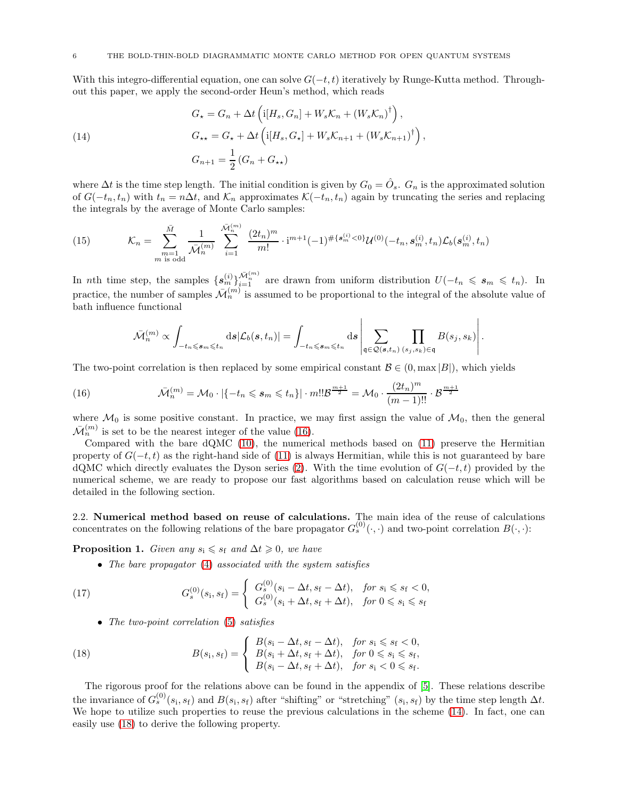With this integro-differential equation, one can solve  $G(-t, t)$  iteratively by Runge-Kutta method. Throughout this paper, we apply the second-order Heun's method, which reads

<span id="page-5-1"></span>(14)  
\n
$$
G_{\star} = G_n + \Delta t \left( \mathrm{i} [H_s, G_n] + W_s \mathcal{K}_n + (W_s \mathcal{K}_n)^{\dagger} \right),
$$
\n
$$
G_{\star \star} = G_{\star} + \Delta t \left( \mathrm{i} [H_s, G_{\star}] + W_s \mathcal{K}_{n+1} + (W_s \mathcal{K}_{n+1})^{\dagger} \right),
$$
\n
$$
G_{n+1} = \frac{1}{2} \left( G_n + G_{\star \star} \right)
$$

where  $\Delta t$  is the time step length. The initial condition is given by  $G_0 = \hat{O}_s$ .  $G_n$  is the approximated solution of  $G(-t_n, t_n)$  with  $t_n = n\Delta t$ , and  $\mathcal{K}_n$  approximates  $\mathcal{K}(-t_n, t_n)$  again by truncating the series and replacing the integrals by the average of Monte Carlo samples:

<span id="page-5-3"></span>(15) 
$$
\mathcal{K}_n = \sum_{\substack{m=1 \ m \text{ is odd}}}^{\bar{M}} \frac{1}{\bar{\mathcal{M}}_n^{(m)}} \sum_{i=1}^{\bar{\mathcal{M}}_n^{(m)}} \frac{(2t_n)^m}{m!} \cdot i^{m+1} (-1)^{\#\{\mathbf{s}_m^{(i)} < 0\}} \mathcal{U}^{(0)}(-t_n, \mathbf{s}_m^{(i)}, t_n) \mathcal{L}_b(\mathbf{s}_m^{(i)}, t_n)
$$

In nth time step, the samples  $\{s_m^{(i)}\}_{i=1}^{\bar{\mathcal{M}}_n^{(m)}}$  are drawn from uniform distribution  $U(-t_n \leqslant s_m \leqslant t_n)$ . In practice, the number of samples  $\bar{\mathcal{M}}_n^{(m)}$  is assumed to be proportional to the integral of the absolute value of bath influence functional

<span id="page-5-0"></span>
$$
\bar{\mathcal{M}}_n^{(m)} \propto \int_{-t_n \leqslant s_m \leqslant t_n} \mathrm{d}s \vert \mathcal{L}_b(s,t_n) \vert = \int_{-t_n \leqslant s_m \leqslant t_n} \mathrm{d}s \left\vert \sum_{\mathfrak{q} \in \mathcal{Q}(\mathbf{s},t_n)} \prod_{(s_j,s_k) \in \mathfrak{q}} B(s_j,s_k) \right\vert.
$$

The two-point correlation is then replaced by some empirical constant  $\mathcal{B} \in (0, \max |B|)$ , which yields

(16) 
$$
\bar{\mathcal{M}}_n^{(m)} = \mathcal{M}_0 \cdot |\{-t_n \leqslant s_m \leqslant t_n\}| \cdot m! \mathcal{B}^{\frac{m+1}{2}} = \mathcal{M}_0 \cdot \frac{(2t_n)^m}{(m-1)!!} \cdot \mathcal{B}^{\frac{m+1}{2}}
$$

where  $\mathcal{M}_0$  is some positive constant. In practice, we may first assign the value of  $\mathcal{M}_0$ , then the general  $\bar{\mathcal{M}}_n^{(m)}$  is set to be the nearest integer of the value [\(16\)](#page-5-0).

Compared with the bare dQMC [\(10\)](#page-4-2), the numerical methods based on [\(11\)](#page-4-3) preserve the Hermitian property of  $G(-t, t)$  as the right-hand side of [\(11\)](#page-4-3) is always Hermitian, while this is not guaranteed by bare dQMC which directly evaluates the Dyson series [\(2\)](#page-2-0). With the time evolution of  $G(-t, t)$  provided by the numerical scheme, we are ready to propose our fast algorithms based on calculation reuse which will be detailed in the following section.

<span id="page-5-5"></span>2.2. Numerical method based on reuse of calculations. The main idea of the reuse of calculations concentrates on the following relations of the bare propagator  $G_s^{(0)}(\cdot, \cdot)$  and two-point correlation  $B(\cdot, \cdot)$ :

**Proposition 1.** Given any  $s_i \le s_f$  and  $\Delta t \ge 0$ , we have

<span id="page-5-4"></span>• The bare propagator [\(4\)](#page-3-2) associated with the system satisfies

(17) 
$$
G_s^{(0)}(s_i, s_f) = \begin{cases} G_s^{(0)}(s_i - \Delta t, s_f - \Delta t), & \text{for } s_i \le s_f < 0, \\ G_s^{(0)}(s_i + \Delta t, s_f + \Delta t), & \text{for } 0 \le s_i \le s_f \end{cases}
$$

<span id="page-5-2"></span>• The two-point correlation [\(5\)](#page-3-3) satisfies

(18) 
$$
B(s_i, s_f) = \begin{cases} B(s_i - \Delta t, s_f - \Delta t), & \text{for } s_i \le s_f < 0, \\ B(s_i + \Delta t, s_f + \Delta t), & \text{for } 0 \le s_i \le s_f, \\ B(s_i - \Delta t, s_f + \Delta t), & \text{for } s_i < 0 \le s_f. \end{cases}
$$

The rigorous proof for the relations above can be found in the appendix of [\[5\]](#page-21-5). These relations describe the invariance of  $G_s^{(0)}(s_i,s_f)$  and  $B(s_i,s_f)$  after "shifting" or "stretching"  $(s_i,s_f)$  by the time step length  $\Delta t$ . We hope to utilize such properties to reuse the previous calculations in the scheme [\(14\)](#page-5-1). In fact, one can easily use [\(18\)](#page-5-2) to derive the following property.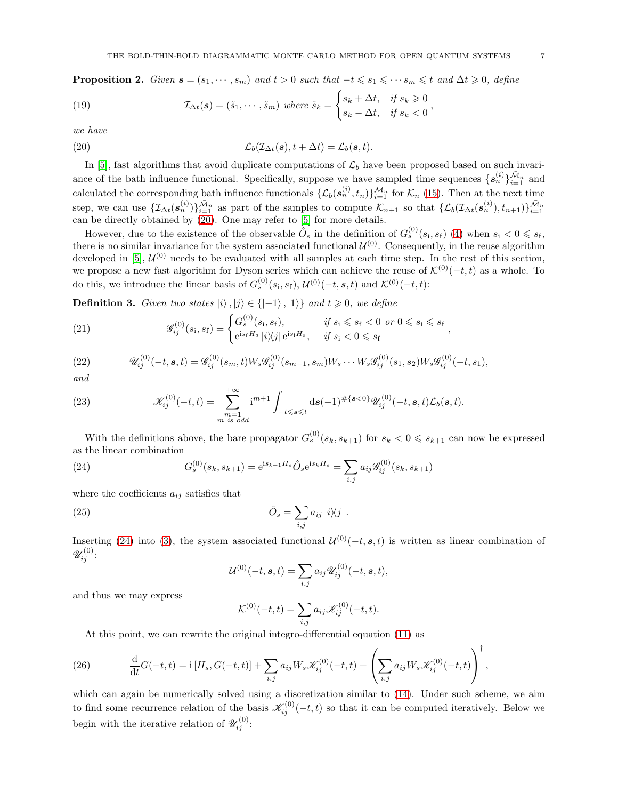**Proposition 2.** Given  $s = (s_1, \dots, s_m)$  and  $t > 0$  such that  $-t \leq s_1 \leq \dots \leq s_m \leq t$  and  $\Delta t \geq 0$ , define

(19) 
$$
\mathcal{I}_{\Delta t}(s) = (\tilde{s}_1, \cdots, \tilde{s}_m) \text{ where } \tilde{s}_k = \begin{cases} s_k + \Delta t, & \text{if } s_k \geq 0 \\ s_k - \Delta t, & \text{if } s_k < 0 \end{cases},
$$

we have

<span id="page-6-0"></span>(20) 
$$
\mathcal{L}_b(\mathcal{I}_{\Delta t}(s), t + \Delta t) = \mathcal{L}_b(s, t).
$$

In [\[5\]](#page-21-5), fast algorithms that avoid duplicate computations of  $\mathcal{L}_b$  have been proposed based on such invariance of the bath influence functional. Specifically, suppose we have sampled time sequences  $\{s_n^{(i)}\}_{i=1}^{\bar{\mathcal{M}}_n}$  and calculated the corresponding bath influence functionals  $\{\mathcal{L}_b(s_n^{(i)}, t_n)\}_{i=1}^{\bar{\mathcal{M}}_n}$  for  $\mathcal{K}_n$  [\(15\)](#page-5-3). Then at the next time step, we can use  $\{\mathcal{I}_{\Delta t}(s_n^{(i)})\}_{i=1}^{\bar{\mathcal{M}}_n}$  as part of the samples to compute  $\mathcal{K}_{n+1}$  so that  $\{\mathcal{L}_b(\mathcal{I}_{\Delta t}(s_n^{(i)}), t_{n+1})\}_{i=1}^{\bar{\mathcal{M}}_n}$ can be directly obtained by [\(20\)](#page-6-0). One may refer to [\[5\]](#page-21-5) for more details.

However, due to the existence of the observable  $\hat{O}_s$  in the definition of  $G_s^{(0)}(s_i,s_f)$  [\(4\)](#page-3-2) when  $s_i < 0 \leqslant s_f$ , there is no similar invariance for the system associated functional  $\mathcal{U}^{(0)}$ . Consequently, in the reuse algorithm developed in [\[5\]](#page-21-5),  $U^{(0)}$  needs to be evaluated with all samples at each time step. In the rest of this section, we propose a new fast algorithm for Dyson series which can achieve the reuse of  $\mathcal{K}^{(0)}(-t, t)$  as a whole. To do this, we introduce the linear basis of  $G_s^{(0)}(s_i, s_f)$ ,  $\mathcal{U}^{(0)}(-t, s, t)$  and  $\mathcal{K}^{(0)}(-t, t)$ :

Definition 3. Given two states  $|i\rangle, |j\rangle \in \{|{-1}\rangle, |1\rangle\}$  and  $t \geq 0$ , we define

<span id="page-6-2"></span>(21) 
$$
\mathscr{G}_{ij}^{(0)}(s_i, s_f) = \begin{cases} G_s^{(0)}(s_i, s_f), & \text{if } s_i \le s_f < 0 \text{ or } 0 \le s_i \le s_f \\ e^{is_f H_s} |i\rangle\!\langle j| \, e^{is_i H_s}, & \text{if } s_i < 0 \le s_f \end{cases},
$$

<span id="page-6-3"></span>(22) 
$$
\mathscr{U}_{ij}^{(0)}(-t,s,t) = \mathscr{G}_{ij}^{(0)}(s_m,t)W_s\mathscr{G}_{ij}^{(0)}(s_{m-1},s_m)W_s\cdots W_s\mathscr{G}_{ij}^{(0)}(s_1,s_2)W_s\mathscr{G}_{ij}^{(0)}(-t,s_1),
$$

and

<span id="page-6-6"></span>(23) 
$$
\mathscr{K}_{ij}^{(0)}(-t,t) = \sum_{\substack{m=1 \ m \ is \ odd}}^{+\infty} i^{m+1} \int_{-t \leq s \leq t} ds (-1)^{\#\{s < 0\}} \mathscr{U}_{ij}^{(0)}(-t,s,t) \mathscr{L}_b(s,t).
$$

With the definitions above, the bare propagator  $G_s^{(0)}(s_k, s_{k+1})$  for  $s_k < 0 \leqslant s_{k+1}$  can now be expressed as the linear combination

(24) 
$$
G_s^{(0)}(s_k, s_{k+1}) = e^{is_{k+1}H_s} \hat{O}_s e^{is_k H_s} = \sum_{i,j} a_{ij} \mathcal{G}_{ij}^{(0)}(s_k, s_{k+1})
$$

where the coefficients  $a_{ij}$  satisfies that

(25) 
$$
\hat{O}_s = \sum_{i,j} a_{ij} |i\rangle\langle j|.
$$

Inserting [\(24\)](#page-6-1) into [\(3\)](#page-2-1), the system associated functional  $\mathcal{U}^{(0)}(-t, s, t)$  is written as linear combination of  $\mathscr{U}^{(0)}_{ij}$ :

<span id="page-6-5"></span><span id="page-6-1"></span>
$$
\mathcal{U}^{(0)}(-t,s,t) = \sum_{i,j} a_{ij} \mathscr{U}_{ij}^{(0)}(-t,s,t),
$$

and thus we may express

$$
\mathcal{K}^{(0)}(-t,t) = \sum_{i,j} a_{ij} \mathcal{K}_{ij}^{(0)}(-t,t).
$$

<span id="page-6-4"></span>At this point, we can rewrite the original integro-differential equation [\(11\)](#page-4-3) as

(26) 
$$
\frac{d}{dt}G(-t,t) = i[H_s, G(-t,t)] + \sum_{i,j} a_{ij} W_s \mathcal{K}_{ij}^{(0)}(-t,t) + \left(\sum_{i,j} a_{ij} W_s \mathcal{K}_{ij}^{(0)}(-t,t)\right)^{\dagger},
$$

<span id="page-6-7"></span>which can again be numerically solved using a discretization similar to  $(14)$ . Under such scheme, we aim to find some recurrence relation of the basis  $\mathscr{K}_{ij}^{(0)}(-t,t)$  so that it can be computed iteratively. Below we begin with the iterative relation of  $\mathscr{U}_{ij}^{(0)}$ :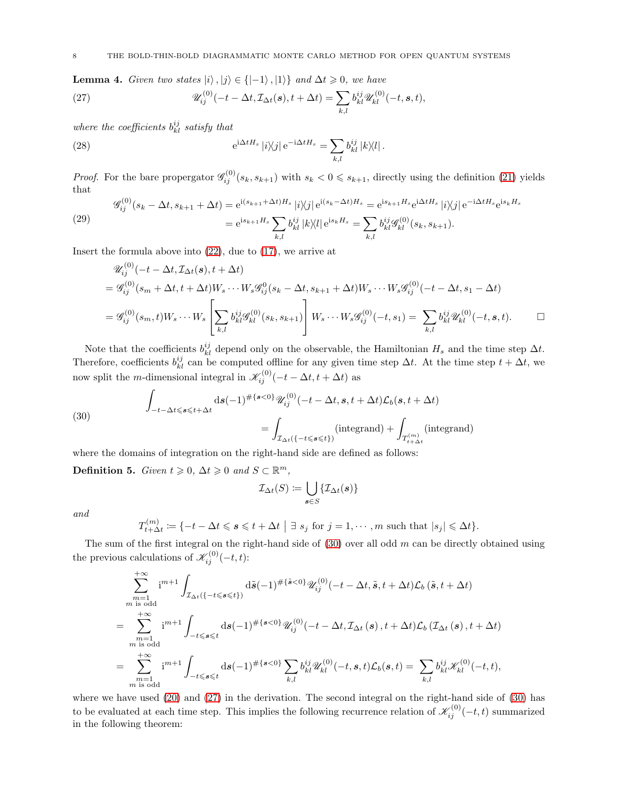**Lemma 4.** Given two states  $|i\rangle$ ,  $|j\rangle \in \{|-1\rangle, |1\rangle\}$  and  $\Delta t \geq 0$ , we have

<span id="page-7-1"></span>(27) 
$$
\mathscr{U}_{ij}^{(0)}(-t-\Delta t, \mathcal{I}_{\Delta t}(s), t+\Delta t) = \sum_{k,l} b_{kl}^{ij} \mathscr{U}_{kl}^{(0)}(-t, s, t),
$$

where the coefficients  $b_{kl}^{ij}$  satisfy that

<span id="page-7-2"></span>(28) 
$$
e^{i\Delta t H_s} |i\rangle\langle j| e^{-i\Delta t H_s} = \sum_{k,l} b_{kl}^{ij} |k\rangle\langle l|.
$$

*Proof.* For the bare propergator  $\mathscr{G}_{ij}^{(0)}(s_k, s_{k+1})$  with  $s_k < 0 \leq s_{k+1}$ , directly using the definition [\(21\)](#page-6-2) yields that

<span id="page-7-3"></span>(29) 
$$
\mathscr{G}_{ij}^{(0)}(s_k - \Delta t, s_{k+1} + \Delta t) = e^{i(s_{k+1} + \Delta t)H_s} |i\rangle\langle j| e^{i(s_k - \Delta t)H_s} = e^{is_{k+1}H_s} e^{i\Delta t H_s} |i\rangle\langle j| e^{-i\Delta t H_s} e^{is_k H_s}
$$

$$
= e^{is_{k+1}H_s} \sum_{k,l} b_{kl}^{ij} |k\rangle\langle l| e^{is_k H_s} = \sum_{k,l} b_{kl}^{ij} \mathscr{G}_{kl}^{(0)}(s_k, s_{k+1}).
$$

Insert the formula above into  $(22)$ , due to  $(17)$ , we arrive at

$$
\mathcal{U}_{ij}^{(0)}(-t - \Delta t, \mathcal{I}_{\Delta t}(s), t + \Delta t) \n= \mathcal{G}_{ij}^{(0)}(s_m + \Delta t, t + \Delta t)W_s \cdots W_s \mathcal{G}_{ij}^{0}(s_k - \Delta t, s_{k+1} + \Delta t)W_s \cdots W_s \mathcal{G}_{ij}^{(0)}(-t - \Delta t, s_1 - \Delta t) \n= \mathcal{G}_{ij}^{(0)}(s_m, t)W_s \cdots W_s \left[ \sum_{k,l} b_{kl}^{ij} \mathcal{G}_{kl}^{(0)}(s_k, s_{k+1}) \right] W_s \cdots W_s \mathcal{G}_{ij}^{(0)}(-t, s_1) = \sum_{k,l} b_{kl}^{ij} \mathcal{U}_{kl}^{(0)}(-t, s, t).
$$

Note that the coefficients  $b_{kl}^{ij}$  depend only on the observable, the Hamiltonian  $H_s$  and the time step  $\Delta t$ . Therefore, coefficients  $b_{kl}^{ij}$  can be computed offline for any given time step  $\Delta t$ . At the time step  $t + \Delta t$ , we now split the *m*-dimensional integral in  $\mathscr{K}_{ij}^{(0)}(-t - \Delta t, t + \Delta t)$  as

<span id="page-7-0"></span>(30)  

$$
\int_{-t-\Delta t \le s \le t+\Delta t} ds(-1)^{\#\{s<0\}} \mathcal{U}_{ij}^{(0)}(-t-\Delta t, s, t+\Delta t) \mathcal{L}_b(s, t+\Delta t)
$$

$$
= \int_{\mathcal{I}_{\Delta t}(\{-t \le s \le t\})} (integrand) + \int_{T_{t+\Delta t}^{(m)}} (integrand)
$$

where the domains of integration on the right-hand side are defined as follows:

Definition 5. Given  $t \geq 0$ ,  $\Delta t \geq 0$  and  $S \subset \mathbb{R}^m$ ,

$$
\mathcal{I}_{\Delta t}(S) \coloneqq \bigcup_{\pmb{s} \in S} \{\mathcal{I}_{\Delta t}(\pmb{s})\}
$$

and

$$
T_{t+\Delta t}^{(m)} := \{-t - \Delta t \leqslant s \leqslant t + \Delta t \mid \exists s_j \text{ for } j = 1, \cdots, m \text{ such that } |s_j| \leqslant \Delta t\}.
$$

The sum of the first integral on the right-hand side of  $(30)$  over all odd m can be directly obtained using the previous calculations of  $\mathscr{K}_{ij}^{(0)}(-t,t)$ :

$$
\sum_{\substack{m=1 \ m \text{ is odd}}}^{+\infty} i^{m+1} \int_{\mathcal{I}_{\Delta t}(\{-t \leqslant s \leqslant t\})} d\tilde{s}(-1)^{\#\{\tilde{s} < 0\}} \mathcal{U}_{ij}^{(0)}(-t - \Delta t, \tilde{s}, t + \Delta t) \mathcal{L}_b(\tilde{s}, t + \Delta t)
$$
\n
$$
= \sum_{\substack{m=1 \ m \text{ is odd}}}^{+\infty} i^{m+1} \int_{-t \leqslant s \leqslant t} d\tilde{s}(-1)^{\#\{s < 0\}} \mathcal{U}_{ij}^{(0)}(-t - \Delta t, \mathcal{I}_{\Delta t}(s), t + \Delta t) \mathcal{L}_b(\mathcal{I}_{\Delta t}(s), t + \Delta t)
$$
\n
$$
= \sum_{\substack{m=1 \ m \text{ is odd}}}^{+\infty} i^{m+1} \int_{-t \leqslant s \leqslant t} d\tilde{s}(-1)^{\#\{s < 0\}} \sum_{k,l} b_{kl}^{ij} \mathcal{U}_{kl}^{(0)}(-t, s, t) \mathcal{L}_b(s, t) = \sum_{k,l} b_{kl}^{ij} \mathcal{K}_{kl}^{(0)}(-t, t),
$$

<span id="page-7-4"></span>where we have used [\(20\)](#page-6-0) and [\(27\)](#page-7-1) in the derivation. The second integral on the right-hand side of [\(30\)](#page-7-0) has to be evaluated at each time step. This implies the following recurrence relation of  $\mathscr{K}_{ij}^{(0)}(-t,t)$  summarized in the following theorem: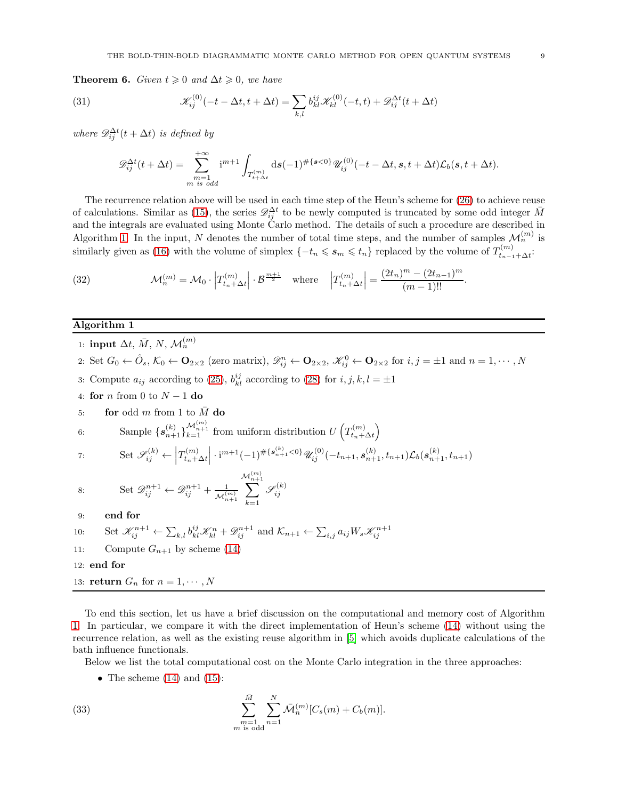**Theorem 6.** Given  $t \geq 0$  and  $\Delta t \geq 0$ , we have

(31) 
$$
\mathscr{K}_{ij}^{(0)}(-t - \Delta t, t + \Delta t) = \sum_{k,l} b_{kl}^{ij} \mathscr{K}_{kl}^{(0)}(-t, t) + \mathscr{D}_{ij}^{\Delta t}(t + \Delta t)
$$

where  $\mathscr{D}_{ij}^{\Delta t}(t + \Delta t)$  is defined by

<span id="page-8-4"></span>
$$
\mathscr{D}_{ij}^{\Delta t}(t+\Delta t) = \sum_{\substack{m=1 \ m \ is \ odd}}^{+\infty} i^{m+1} \int_{T_{t+\Delta t}^{(m)}} ds (-1)^{\#\{s<0\}} \mathscr{U}_{ij}^{(0)}(-t-\Delta t,s,t+\Delta t) \mathcal{L}_b(s,t+\Delta t).
$$

The recurrence relation above will be used in each time step of the Heun's scheme for [\(26\)](#page-6-4) to achieve reuse of calculations. Similar as [\(15\)](#page-5-3), the series  $\mathscr{D}_{ij}^{\Delta t}$  to be newly computed is truncated by some odd integer  $\bar{M}$ and the integrals are evaluated using Monte Carlo method. The details of such a procedure are described in Algorithm [1.](#page-8-0) In the input, N denotes the number of total time steps, and the number of samples  $\mathcal{M}_n^{(m)}$  is similarly given as [\(16\)](#page-5-0) with the volume of simplex  $\{-t_n \leqslant s_m \leqslant t_n\}$  replaced by the volume of  $T_{t_{n-1}}^{(m)}$  $t_{n-1}+\Delta t$ <sup>:</sup>

<span id="page-8-5"></span>(32) 
$$
\mathcal{M}_n^{(m)} = \mathcal{M}_0 \cdot \left| T_{t_n + \Delta t}^{(m)} \right| \cdot \mathcal{B}^{\frac{m+1}{2}} \quad \text{where} \quad \left| T_{t_n + \Delta t}^{(m)} \right| = \frac{(2t_n)^m - (2t_{n-1})^m}{(m-1)!!}.
$$

### <span id="page-8-0"></span>Algorithm 1

- 1:  ${\rm input}\; \Delta t,\, \bar{M},\, N,\, {\cal M}_n^{(m)}$
- 2: Set  $G_0 \leftarrow \hat{O}_s$ ,  $\mathcal{K}_0 \leftarrow \mathbf{O}_{2\times 2}$  (zero matrix),  $\mathscr{D}_{ij}^n \leftarrow \mathbf{O}_{2\times 2}$ ,  $\mathscr{K}_{ij}^0 \leftarrow \mathbf{O}_{2\times 2}$  for  $i, j = \pm 1$  and  $n = 1, \cdots, N$
- 3: Compute  $a_{ij}$  according to [\(25\)](#page-6-5),  $b_{kl}^{ij}$  according to [\(28\)](#page-7-2) for  $i, j, k, l = \pm 1$
- 4: for *n* from 0 to  $N 1$  do
- 5: for odd m from 1 to  $\overline{M}$  do

6: Sample 
$$
\{s_{n+1}^{(k)}\}_{k=1}^{\mathcal{M}_{n+1}^{(m)}}
$$
 from uniform distribution  $U\left(T_{t_n+\Delta t}^{(m)}\right)$ 

<span id="page-8-2"></span>7: Set 
$$
\mathscr{S}_{ij}^{(k)} \leftarrow \left| T_{t_n + \Delta t}^{(m)} \right| \cdot i^{m+1} (-1)^{\# \{ \mathbf{s}_{n+1}^{(k)} < 0 \}} \mathscr{U}_{ij}^{(0)}(-t_{n+1}, \mathbf{s}_{n+1}^{(k)}, t_{n+1}) \mathcal{L}_b(\mathbf{s}_{n+1}^{(k)}, t_{n+1})
$$

<span id="page-8-3"></span>8: Set 
$$
\mathscr{D}_{ij}^{n+1} \leftarrow \mathscr{D}_{ij}^{n+1} + \frac{1}{\mathcal{M}_{n+1}^{(m)}} \sum_{k=1}^{\mathcal{M}_{n+1}^{(m)}} \mathscr{S}_{ij}^{(k)}
$$

- 9: end for
- 10: Set  $\mathcal{K}_{ij}^{n+1} \leftarrow \sum_{k,l} b_{kl}^{ij} \mathcal{K}_{kl}^{n} + \mathcal{D}_{ij}^{n+1}$  and  $\mathcal{K}_{n+1} \leftarrow \sum_{i,j} a_{ij} W_s \mathcal{K}_{ij}^{n+1}$
- 11: Compute  $G_{n+1}$  by scheme [\(14\)](#page-5-1)

12: end for

13: **return**  $G_n$  for  $n = 1, \dots, N$ 

To end this section, let us have a brief discussion on the computational and memory cost of Algorithm [1.](#page-8-0) In particular, we compare it with the direct implementation of Heun's scheme [\(14\)](#page-5-1) without using the recurrence relation, as well as the existing reuse algorithm in [\[5\]](#page-21-5) which avoids duplicate calculations of the bath influence functionals.

Below we list the total computational cost on the Monte Carlo integration in the three approaches:

<span id="page-8-1"></span>• The scheme  $(14)$  and  $(15)$ :

(33) 
$$
\sum_{\substack{m=1 \ m \text{ is odd}}}^{\bar{M}} \sum_{n=1}^{N} \bar{\mathcal{M}}_n^{(m)} [C_s(m) + C_b(m)].
$$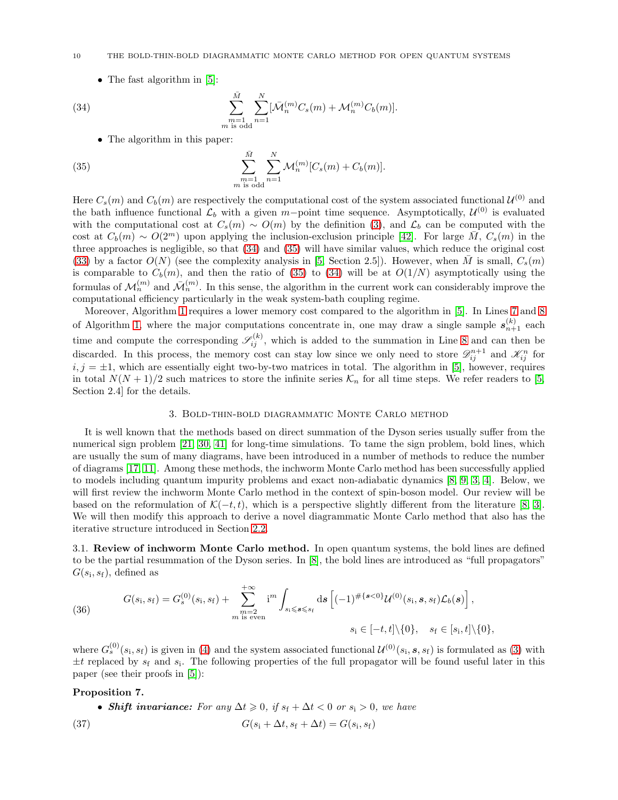### 10 THE BOLD-THIN-BOLD DIAGRAMMATIC MONTE CARLO METHOD FOR OPEN QUANTUM SYSTEMS

<span id="page-9-2"></span>• The fast algorithm in [\[5\]](#page-21-5):

(34) 
$$
\sum_{\substack{m=1 \ m \text{ is odd}}}^{\bar{M}} \sum_{n=1}^{N} [\bar{\mathcal{M}}_n^{(m)} C_s(m) + \mathcal{M}_n^{(m)} C_b(m)].
$$

<span id="page-9-3"></span>• The algorithm in this paper:

(35) 
$$
\sum_{\substack{m=1 \ m \text{ is odd}}}^{\bar{M}} \sum_{n=1}^{N} \mathcal{M}_n^{(m)} [C_s(m) + C_b(m)].
$$

Here  $C_s(m)$  and  $C_b(m)$  are respectively the computational cost of the system associated functional  $\mathcal{U}^{(0)}$  and the bath influence functional  $\mathcal{L}_b$  with a given m-point time sequence. Asymptotically,  $\mathcal{U}^{(0)}$  is evaluated with the computational cost at  $C_s(m) \sim O(m)$  by the definition [\(3\)](#page-2-1), and  $\mathcal{L}_b$  can be computed with the cost at  $C_b(m) \sim O(2^m)$  upon applying the inclusion-exclusion principle [\[42\]](#page-22-27). For large  $\overline{M}$ ,  $C_s(m)$  in the three approaches is negligible, so that [\(34\)](#page-9-2) and [\(35\)](#page-9-3) will have similar values, which reduce the original cost [\(33\)](#page-8-1) by a factor  $O(N)$  (see the complexity analysis in [\[5,](#page-21-5) Section 2.5]). However, when M is small,  $C_s(m)$ is comparable to  $C_b(m)$ , and then the ratio of [\(35\)](#page-9-3) to [\(34\)](#page-9-2) will be at  $O(1/N)$  asymptotically using the formulas of  $\mathcal{M}_n^{(m)}$  and  $\bar{\mathcal{M}}_n^{(m)}$ . In this sense, the algorithm in the current work can considerably improve the computational efficiency particularly in the weak system-bath coupling regime.

Moreover, Algorithm [1](#page-8-0) requires a lower memory cost compared to the algorithm in [\[5\]](#page-21-5). In Lines [7](#page-8-2) and [8](#page-8-3) of Algorithm [1,](#page-8-0) where the major computations concentrate in, one may draw a single sample  $s_{n+1}^{(k)}$  each time and compute the corresponding  $\mathscr{S}_{ij}^{(k)}$ , which is added to the summation in Line [8](#page-8-3) and can then be discarded. In this process, the memory cost can stay low since we only need to store  $\mathscr{D}_{ij}^{n+1}$  and  $\mathscr{K}_{ij}^n$  for  $i, j = \pm 1$ , which are essentially eight two-by-two matrices in total. The algorithm in [\[5\]](#page-21-5), however, requires in total  $N(N+1)/2$  such matrices to store the infinite series  $\mathcal{K}_n$  for all time steps. We refer readers to [\[5,](#page-21-5) Section 2.4] for the details.

#### 3. Bold-thin-bold diagrammatic Monte Carlo method

<span id="page-9-0"></span>It is well known that the methods based on direct summation of the Dyson series usually suffer from the numerical sign problem [\[21,](#page-22-24) [30,](#page-22-34) [41\]](#page-22-23) for long-time simulations. To tame the sign problem, bold lines, which are usually the sum of many diagrams, have been introduced in a number of methods to reduce the number of diagrams [\[17,](#page-22-32) [11\]](#page-22-28). Among these methods, the inchworm Monte Carlo method has been successfully applied to models including quantum impurity problems and exact non-adiabatic dynamics [\[8,](#page-22-25) [9,](#page-22-26) [3,](#page-21-4) [4\]](#page-21-3). Below, we will first review the inchworm Monte Carlo method in the context of spin-boson model. Our review will be based on the reformulation of  $\mathcal{K}(-t,t)$ , which is a perspective slightly different from the literature [\[8,](#page-22-25) [3\]](#page-21-4). We will then modify this approach to derive a novel diagrammatic Monte Carlo method that also has the iterative structure introduced in Section [2.2.](#page-5-5)

<span id="page-9-1"></span>3.1. Review of inchworm Monte Carlo method. In open quantum systems, the bold lines are defined to be the partial resummation of the Dyson series. In [\[8\]](#page-22-25), the bold lines are introduced as "full propagators"  $G(s_i, s_f)$ , defined as

<span id="page-9-4"></span>(36) 
$$
G(s_i, s_f) = G_s^{(0)}(s_i, s_f) + \sum_{\substack{m=2 \ m \text{ is even}}}^{+\infty} i^m \int_{s_i \leq s \leq s_f} ds \left[(-1)^{\#\{s < 0\}} \mathcal{U}^{(0)}(s_i, s, s_f) \mathcal{L}_b(s)\right],
$$
  
\n
$$
s_i \in [-t, t] \setminus \{0\}, \quad s_f \in [s_i, t] \setminus \{0\},
$$

where  $G_s^{(0)}(s_i, s_f)$  is given in [\(4\)](#page-3-2) and the system associated functional  $\mathcal{U}^{(0)}(s_i, s, s_f)$  is formulated as [\(3\)](#page-2-1) with  $\pm t$  replaced by  $s_f$  and  $s_i$ . The following properties of the full propagator will be found useful later in this paper (see their proofs in [\[5\]](#page-21-5)):

#### Proposition 7.

- <span id="page-9-5"></span>• Shift invariance: For any  $\Delta t \geq 0$ , if  $s_f + \Delta t < 0$  or  $s_i > 0$ , we have
- (37)  $G(s_i + \Delta t, s_f + \Delta t) = G(s_i, s_f)$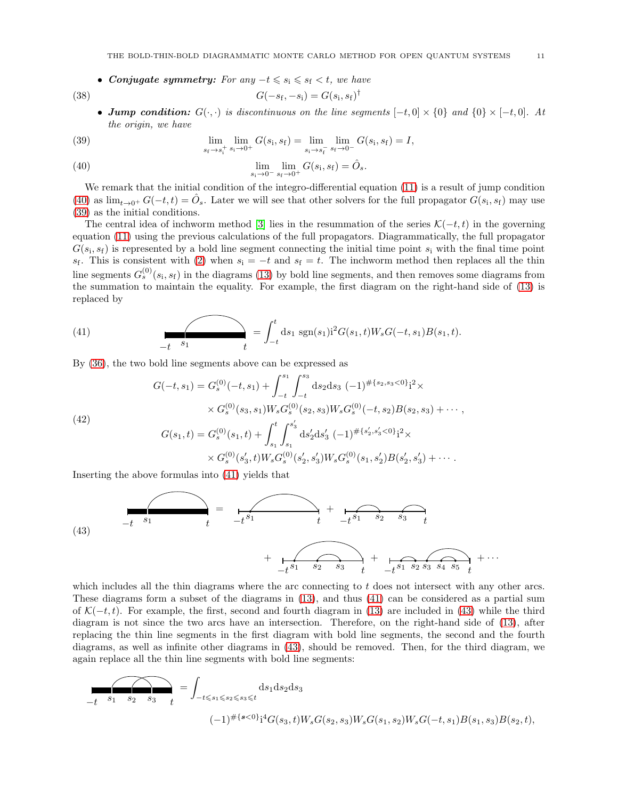<span id="page-10-5"></span>• Conjugate symmetry: For any  $-t \leq s_i \leq s_f \leq t$ , we have

(38) 
$$
G(-s_{\rm f}, -s_{\rm i}) = G(s_{\rm i}, s_{\rm f})^{\dagger}
$$

• Jump condition:  $G(\cdot, \cdot)$  is discontinuous on the line segments  $[-t, 0] \times \{0\}$  and  $\{0\} \times [-t, 0]$ . At the origin, we have

<span id="page-10-1"></span>(39) 
$$
\lim_{s_f \to s_i^+} \lim_{s_i \to 0^+} G(s_i, s_f) = \lim_{s_i \to s_f^-} \lim_{s_f \to 0^-} G(s_i, s_f) = I,
$$

<span id="page-10-0"></span>(40) 
$$
\lim_{s_i \to 0^-} \lim_{s_f \to 0^+} G(s_i, s_f) = \hat{O}_s.
$$

We remark that the initial condition of the integro-differential equation [\(11\)](#page-4-3) is a result of jump condition [\(40\)](#page-10-0) as  $\lim_{t\to 0^+} G(-t,t) = \hat{O}_s$ . Later we will see that other solvers for the full propagator  $G(s_i, s_f)$  may use [\(39\)](#page-10-1) as the initial conditions.

The central idea of inchworm method [\[3\]](#page-21-4) lies in the resummation of the series  $\mathcal{K}(-t, t)$  in the governing equation [\(11\)](#page-4-3) using the previous calculations of the full propagators. Diagrammatically, the full propagator  $G(s_i, s_f)$  is represented by a bold line segment connecting the initial time point  $s_i$  with the final time point s<sub>f</sub>. This is consistent with [\(2\)](#page-2-0) when  $s_i = -t$  and  $s_f = t$ . The inchworm method then replaces all the thin line segments  $G_s^{(0)}(s_i, s_f)$  in the diagrams [\(13\)](#page-4-4) by bold line segments, and then removes some diagrams from the summation to maintain the equality. For example, the first diagram on the right-hand side of [\(13\)](#page-4-4) is replaced by

<span id="page-10-2"></span>(41) 
$$
= \int_{-t}^{t} ds_1 \operatorname{sgn}(s_1) i^2 G(s_1, t) W_s G(-t, s_1) B(s_1, t).
$$

By [\(36\)](#page-9-4), the two bold line segments above can be expressed as

<span id="page-10-4"></span>(42)  
\n
$$
G(-t,s_1) = G_s^{(0)}(-t,s_1) + \int_{-t}^{s_1} \int_{-t}^{s_3} ds_2 ds_3 \ (-1)^{\# \{s_2,s_3<0\}} i^2 \times
$$
\n
$$
\times G_s^{(0)}(s_3,s_1) W_s G_s^{(0)}(s_2,s_3) W_s G_s^{(0)}(-t,s_2) B(s_2,s_3) + \cdots,
$$
\n
$$
G(s_1,t) = G_s^{(0)}(s_1,t) + \int_{s_1}^t \int_{s_1}^{s'_3} ds'_2 ds'_3 \ (-1)^{\# \{s'_2,s'_3<0\}} i^2 \times
$$
\n
$$
\times G_s^{(0)}(s'_3,t) W_s G_s^{(0)}(s'_2,s'_3) W_s G_s^{(0)}(s_1,s'_2) B(s'_2,s'_3) + \cdots.
$$

Inserting the above formulas into [\(41\)](#page-10-2) yields that

<span id="page-10-3"></span>

which includes all the thin diagrams where the arc connecting to t does not intersect with any other arcs. These diagrams form a subset of the diagrams in [\(13\)](#page-4-4), and thus [\(41\)](#page-10-2) can be considered as a partial sum of  $\mathcal{K}(-t,t)$ . For example, the first, second and fourth diagram in [\(13\)](#page-4-4) are included in [\(43\)](#page-10-3) while the third diagram is not since the two arcs have an intersection. Therefore, on the right-hand side of [\(13\)](#page-4-4), after replacing the thin line segments in the first diagram with bold line segments, the second and the fourth diagrams, as well as infinite other diagrams in [\(43\)](#page-10-3), should be removed. Then, for the third diagram, we again replace all the thin line segments with bold line segments:

$$
f(s_1 + s_1 - s_2 - s_3 - t) = \int_{-t \le s_1 \le s_2 \le s_3 \le t} ds_1 ds_2 ds_3
$$
  

$$
(-1)^{\# \{s < 0\}} i^4 G(s_3, t) W_s G(s_2, s_3) W_s G(s_1, s_2) W_s G(-t, s_1) B(s_1, s_3) B(s_2, t),
$$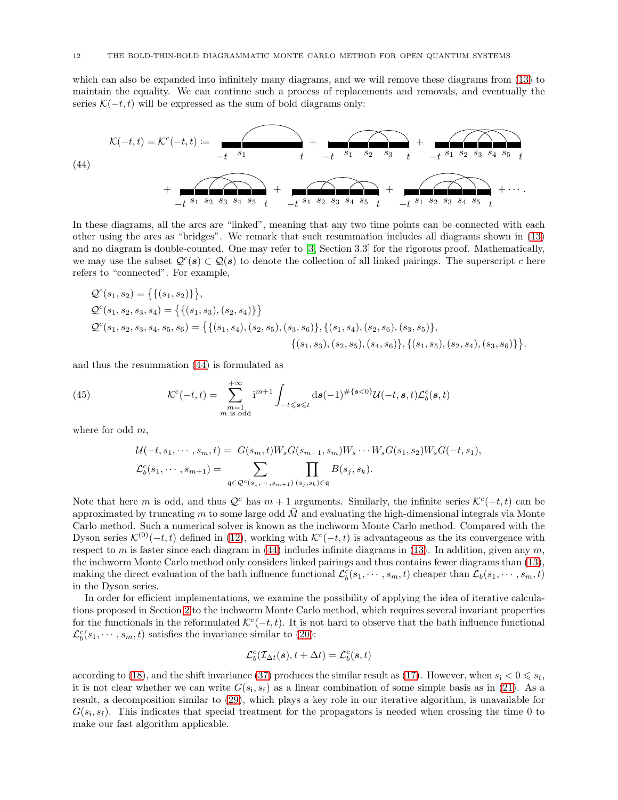which can also be expanded into infinitely many diagrams, and we will remove these diagrams from  $(13)$  to maintain the equality. We can continue such a process of replacements and removals, and eventually the series  $\mathcal{K}(-t, t)$  will be expressed as the sum of bold diagrams only:

<span id="page-11-0"></span>(44)  

$$
\mathcal{K}(-t,t) = \mathcal{K}^{c}(-t,t) := \underbrace{+}_{-t} s_{1} + \underbrace{+}_{-t} s_{1} s_{2} s_{3} + \underbrace{+}_{-t} s_{1} s_{2} s_{3} s_{4} s_{5} + \underbrace{+}_{-t} s_{1} s_{2} s_{3} s_{4} s_{5} + \cdots
$$

In these diagrams, all the arcs are "linked", meaning that any two time points can be connected with each other using the arcs as "bridges". We remark that such resummation includes all diagrams shown in [\(13\)](#page-4-4) and no diagram is double-counted. One may refer to [\[3,](#page-21-4) Section 3.3] for the rigorous proof. Mathematically, we may use the subset  $Q^{c}(s) \subset Q(s)$  to denote the collection of all linked pairings. The superscript c here refers to "connected". For example,

$$
Q^{c}(s_{1}, s_{2}) = \{ \{(s_{1}, s_{2})\} \},
$$
  
\n
$$
Q^{c}(s_{1}, s_{2}, s_{3}, s_{4}) = \{ \{(s_{1}, s_{3}), (s_{2}, s_{4})\} \}
$$
  
\n
$$
Q^{c}(s_{1}, s_{2}, s_{3}, s_{4}, s_{5}, s_{6}) = \{ \{(s_{1}, s_{4}), (s_{2}, s_{5}), (s_{3}, s_{6})\}, \{(s_{1}, s_{4}), (s_{2}, s_{6}), (s_{3}, s_{5})\}, \{(s_{1}, s_{5}), (s_{2}, s_{4}), (s_{3}, s_{6})\} \}.
$$

and thus the resummation [\(44\)](#page-11-0) is formulated as

(45) 
$$
\mathcal{K}^c(-t,t) = \sum_{\substack{m=1 \ m \text{ is odd}}}^{+\infty} i^{m+1} \int_{-t \leq s \leq t} ds (-1)^{\#\{s < 0\}} \mathcal{U}(-t,s,t) \mathcal{L}_b^c(s,t)
$$

where for odd  $m$ ,

$$
\mathcal{U}(-t, s_1, \cdots, s_m, t) = G(s_m, t)W_sG(s_{m-1}, s_m)W_s \cdots W_sG(s_1, s_2)W_sG(-t, s_1),
$$
  

$$
\mathcal{L}_b^c(s_1, \cdots, s_{m+1}) = \sum_{\mathfrak{q} \in \mathcal{Q}^c(s_1, \cdots, s_{m+1})} \prod_{(s_j, s_k) \in \mathfrak{q}} B(s_j, s_k).
$$

Note that here m is odd, and thus  $\mathcal{Q}^c$  has  $m+1$  arguments. Similarly, the infinite series  $\mathcal{K}^c(-t,t)$  can be approximated by truncating m to some large odd  $M$  and evaluating the high-dimensional integrals via Monte Carlo method. Such a numerical solver is known as the inchworm Monte Carlo method. Compared with the Dyson series  $\mathcal{K}^{(0)}(-t,t)$  defined in [\(12\)](#page-4-1), working with  $\mathcal{K}^{c}(-t,t)$  is advantageous as the its convergence with respect to m is faster since each diagram in  $(44)$  includes infinite diagrams in  $(13)$ . In addition, given any m, the inchworm Monte Carlo method only considers linked pairings and thus contains fewer diagrams than [\(13\)](#page-4-4), making the direct evaluation of the bath influence functional  $\mathcal{L}_b^c(s_1,\dots,s_m,t)$  cheaper than  $\mathcal{L}_b(s_1,\dots,s_m,t)$ in the Dyson series.

In order for efficient implementations, we examine the possibility of applying the idea of iterative calculations proposed in Section [2](#page-1-0) to the inchworm Monte Carlo method, which requires several invariant properties for the functionals in the reformulated  $\mathcal{K}^{c}(-t,t)$ . It is not hard to observe that the bath influence functional  $\mathcal{L}_b^c(s_1, \dots, s_m, t)$  satisfies the invariance similar to [\(20\)](#page-6-0):

$$
\mathcal{L}^c_b(\mathcal{I}_{\Delta t}(\boldsymbol{s}), t+\Delta t) = \mathcal{L}^c_b(\boldsymbol{s},t)
$$

according to [\(18\)](#page-5-2), and the shift invariance [\(37\)](#page-9-5) produces the similar result as [\(17\)](#page-5-4). However, when  $s_i < 0 \leq s_f$ , it is not clear whether we can write  $G(s_i, s_f)$  as a linear combination of some simple basis as in [\(21\)](#page-6-2). As a result, a decomposition similar to [\(29\)](#page-7-3), which plays a key role in our iterative algorithm, is unavailable for  $G(s_i, s_f)$ . This indicates that special treatment for the propagators is needed when crossing the time 0 to make our fast algorithm applicable.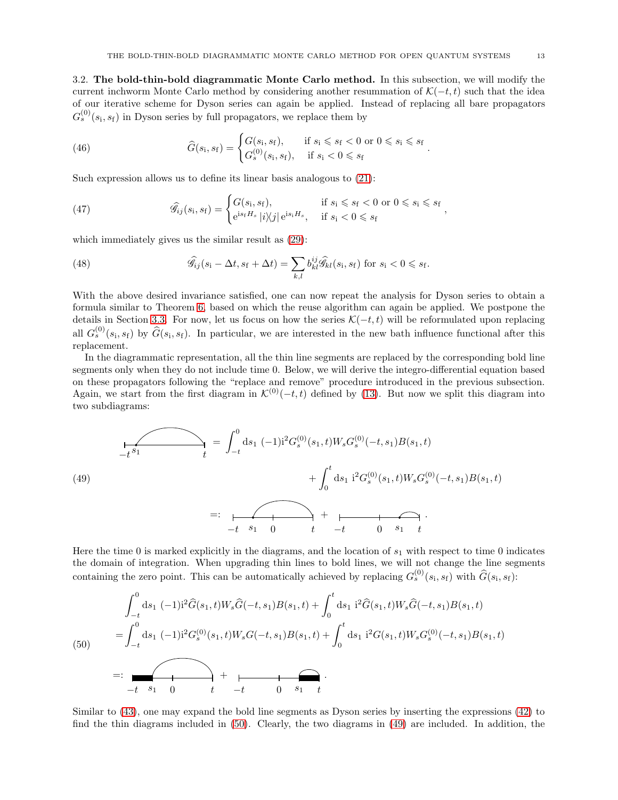.

<span id="page-12-0"></span>3.2. The bold-thin-bold diagrammatic Monte Carlo method. In this subsection, we will modify the current inchworm Monte Carlo method by considering another resummation of  $\mathcal{K}(-t, t)$  such that the idea of our iterative scheme for Dyson series can again be applied. Instead of replacing all bare propagators  $G_s^{(0)}(s_i, s_f)$  in Dyson series by full propagators, we replace them by

(46) 
$$
\widehat{G}(s_i, s_f) = \begin{cases} G(s_i, s_f), & \text{if } s_i \leq s_f < 0 \text{ or } 0 \leq s_i \leq s_f \\ G_s^{(0)}(s_i, s_f), & \text{if } s_i < 0 \leq s_f \end{cases}
$$

Such expression allows us to define its linear basis analogous to [\(21\)](#page-6-2):

<span id="page-12-4"></span>(47) 
$$
\widehat{\mathscr{G}}_{ij}(s_i,s_f) = \begin{cases} G(s_i,s_f), & \text{if } s_i \leq s_f < 0 \text{ or } 0 \leq s_i \leq s_f \\ e^{is_f H_s} |i\rangle\!\langle j| \, e^{is_i H_s}, & \text{if } s_i < 0 \leq s_f \end{cases},
$$

which immediately gives us the similar result as [\(29\)](#page-7-3):

<span id="page-12-3"></span>(48) 
$$
\widehat{\mathscr{G}}_{ij}(s_i - \Delta t, s_f + \Delta t) = \sum_{k,l} b^{ij}_{kl} \widehat{\mathscr{G}}_{kl}(s_i, s_f) \text{ for } s_i < 0 \leq s_f.
$$

With the above desired invariance satisfied, one can now repeat the analysis for Dyson series to obtain a formula similar to Theorem [6,](#page-7-4) based on which the reuse algorithm can again be applied. We postpone the details in Section [3.3.](#page-15-0) For now, let us focus on how the series  $\mathcal{K}(-t,t)$  will be reformulated upon replacing all  $G_s^{(0)}(s_i,s_f)$  by  $\widehat{G}(s_i,s_f)$ . In particular, we are interested in the new bath influence functional after this replacement.

In the diagrammatic representation, all the thin line segments are replaced by the corresponding bold line segments only when they do not include time 0. Below, we will derive the integro-differential equation based on these propagators following the "replace and remove" procedure introduced in the previous subsection. Again, we start from the first diagram in  $\mathcal{K}^{(0)}(-t, t)$  defined by [\(13\)](#page-4-4). But now we split this diagram into two subdiagrams:

<span id="page-12-2"></span>(49)  
\n
$$
\frac{1}{-t^{s_1}} \qquad t = \int_{-t}^{0} ds_1 (-1)^{i^2} G_s^{(0)}(s_1, t) W_s G_s^{(0)}(-t, s_1) B(s_1, t) + \int_{0}^{t} ds_1 i^2 G_s^{(0)}(s_1, t) W_s G_s^{(0)}(-t, s_1) B(s_1, t)
$$
\n
$$
=: \qquad \qquad t \qquad t \qquad t \qquad t \qquad t \qquad 0 \qquad s_1 \qquad t
$$

Here the time 0 is marked explicitly in the diagrams, and the location of  $s_1$  with respect to time 0 indicates the domain of integration. When upgrading thin lines to bold lines, we will not change the line segments containing the zero point. This can be automatically achieved by replacing  $G_s^{(0)}(s_i, s_f)$  with  $\widehat{G}(s_i, s_f)$ :

<span id="page-12-1"></span>
$$
\int_{-t}^{0} ds_1 (-1)^{i2} \hat{G}(s_1, t) W_s \hat{G}(-t, s_1) B(s_1, t) + \int_{0}^{t} ds_1 i^2 \hat{G}(s_1, t) W_s \hat{G}(-t, s_1) B(s_1, t)
$$
\n
$$
= \int_{-t}^{0} ds_1 (-1)^{i2} G_s^{(0)}(s_1, t) W_s G(-t, s_1) B(s_1, t) + \int_{0}^{t} ds_1 i^2 G(s_1, t) W_s G_s^{(0)}(-t, s_1) B(s_1, t)
$$
\n
$$
= \frac{1}{t} \sum_{s_1 = 0}^{t} + \frac{1}{t} \sum_{t_1 = t_1}^{t} + \frac{1}{t} \sum_{t_2 = t_2}^{t} + \frac{1}{t} \sum_{t_1 = t_1}^{t} + \frac{1}{t} \sum_{t_2 = t_2}^{t} + \frac{1}{t} \sum_{t_1 = t_2}^{t} + \frac{1}{t} \sum_{t_2 = t_1}^{t} + \frac{1}{t} \sum_{t_1 = t_2}^{t} + \frac{1}{t} \sum_{t_2 = t_1}^{t} + \frac{1}{t} \sum_{t_1 = t_2}^{t} + \frac{1}{t} \sum_{t_2 = t_1}^{t} + \frac{1}{t} \sum_{t_1 = t_2}^{t} + \frac{1}{t} \sum_{t_2 = t_1}^{t} + \frac{1}{t} \sum_{t_1 = t_2}^{t} + \frac{1}{t} \sum_{t_2 = t_1}^{t} + \frac{1}{t} \sum_{t_1 = t_2}^{t} + \frac{1}{t} \sum_{t_2 = t_1}^{t} + \frac{1}{t} \sum_{t_1 = t_2}^{t} + \frac{1}{t} \sum_{t_2 = t_1}^{t} + \frac{1}{t} \sum_{t_1 = t_2}^{t} + \frac{1}{t} \sum_{t_2 = t_1}^{t} + \frac{1}{t} \sum_{t_1 = t_2}^{t} + \frac{1}{t} \sum_{t_2 = t_1}^{t} + \frac{1}{t} \sum_{t_1 = t_2}^{t} + \frac{1}{t} \sum_{t_2 = t_1}^{t} +
$$

Similar to [\(43\)](#page-10-3), one may expand the bold line segments as Dyson series by inserting the expressions [\(42\)](#page-10-4) to find the thin diagrams included in [\(50\)](#page-12-1). Clearly, the two diagrams in [\(49\)](#page-12-2) are included. In addition, the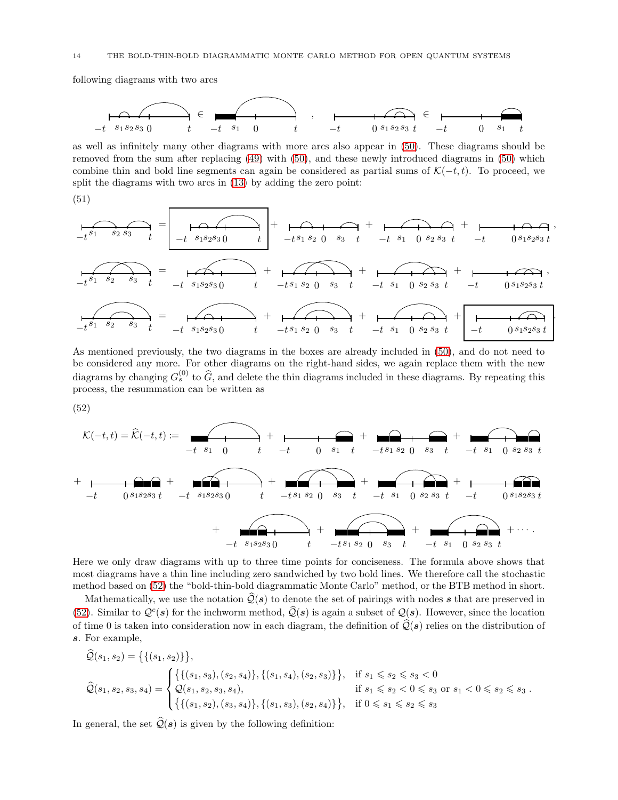following diagrams with two arcs

−t s<sup>1</sup> s<sup>2</sup> s<sup>3</sup> 0 t ∈ −t s<sup>1</sup> 0 t , −t 0 s<sup>1</sup> s<sup>2</sup> s<sup>3</sup> t ∈ −t 0 s<sup>1</sup> t

as well as infinitely many other diagrams with more arcs also appear in [\(50\)](#page-12-1). These diagrams should be removed from the sum after replacing [\(49\)](#page-12-2) with [\(50\)](#page-12-1), and these newly introduced diagrams in [\(50\)](#page-12-1) which combine thin and bold line segments can again be considered as partial sums of  $\mathcal{K}(-t, t)$ . To proceed, we split the diagrams with two arcs in [\(13\)](#page-4-4) by adding the zero point:

(51)

$$
-\frac{1}{t^{s_1} s_2 s_3} t = \frac{1}{-t^{s_1 s_2 s_3 0}} t + \frac{1}{-t^{s_1 s_2 0 s_3} t} + \frac{1}{-t^{s_1 s_2 0 s_3} t} t + \frac{1}{-t^{s_1 s_2 s_3} t} t + \frac{1}{-t^{s_1 s_2 s_3} t} t + \frac{1}{-t^{s_1 s_2 s_3} t} t + \frac{1}{-t^{s_1 s_2 s_3} t} t + \frac{1}{-t^{s_1 s_2 s_3} t} t + \frac{1}{-t^{s_1 s_2 s_3} t} t + \frac{1}{-t^{s_1 s_2 s_3} t} t + \frac{1}{-t^{s_1 s_2 s_3} t} t + \frac{1}{-t^{s_1 s_2 s_3} t} t + \frac{1}{-t^{s_1 s_2 s_3} t} t + \frac{1}{-t^{s_1 s_2 s_3} t} t + \frac{1}{-t^{s_1 s_2 s_3} t} t + \frac{1}{-t^{s_1 s_2 s_3} t} t + \frac{1}{-t^{s_1 s_2 s_3} t} t + \frac{1}{-t^{s_1 s_2 s_3} t} t + \frac{1}{-t^{s_1 s_2 s_3} t} t + \frac{1}{-t^{s_1 s_2 s_3} t} t + \frac{1}{-t^{s_1 s_2 s_3} t} t + \frac{1}{-t^{s_1 s_2 s_3} t} t + \frac{1}{-t^{s_1 s_2 s_3} t} t + \frac{1}{-t^{s_1 s_2 s_3} t} t + \frac{1}{-t^{s_1 s_2 s_3} t} t + \frac{1}{-t^{s_1 s_2 s_3} t} t + \frac{1}{-t^{s_1 s_2 s_3} t} t + \frac{1}{-t^{s_1 s_2 s_3} t} t + \frac{1}{-t^{s_1 s_2 s_3} t} t + \frac{1}{-t^{s_1 s_2 s_3} t} t + \frac{1}{-t^{s_1 s_2 s_3} t} t + \frac{1}{-t^{s_1 s_2 s_3} t} t + \frac{1}{-t^{s_1 s_2 s_3} t} t + \frac{1}{-t^{s_
$$

As mentioned previously, the two diagrams in the boxes are already included in [\(50\)](#page-12-1), and do not need to be considered any more. For other diagrams on the right-hand sides, we again replace them with the new diagrams by changing  $G_s^{(0)}$  to  $\hat{G}$ , and delete the thin diagrams included in these diagrams. By repeating this process, the resummation can be written as

<span id="page-13-0"></span>
$$
(52)
$$

$$
\mathcal{K}(-t,t) = \hat{\mathcal{K}}(-t,t) := \underbrace{\qquad \qquad}_{-t} + \underbrace{\qquad \qquad}_{-t} + \underbrace{\qquad \qquad}_{0 \text{ s}_1 \text{ t}} + \underbrace{\qquad \qquad}_{-t} + \underbrace{\qquad \qquad}_{0 \text{ s}_1 \text{ t}} + \underbrace{\qquad \qquad}_{-t} + \underbrace{\qquad \qquad}_{0 \text{ s}_2 \text{ s}_3 \text{ t}} + \underbrace{\qquad \qquad}_{-t} + \underbrace{\qquad \qquad}_{0 \text{ s}_1 \text{ s}_2 \text{ s}_3 \text{ t}} + \underbrace{\qquad \qquad}_{-t} + \underbrace{\qquad \qquad}_{0 \text{ s}_1 \text{ s}_2 \text{ s}_3 \text{ t}} + \underbrace{\qquad \qquad}_{-t} + \underbrace{\qquad \qquad}_{0 \text{ s}_1 \text{ s}_2 \text{ s}_3 \text{ t}} + \underbrace{\qquad \qquad}_{-t} + \underbrace{\qquad \qquad}_{0 \text{ s}_1 \text{ s}_2 \text{ s}_3 \text{ t}} + \underbrace{\qquad \qquad}_{-t} + \underbrace{\qquad \qquad}_{0 \text{ s}_1 \text{ s}_2 \text{ s}_3 \text{ t}} + \underbrace{\qquad \qquad}_{-t} + \underbrace{\qquad \qquad}_{0 \text{ s}_1 \text{ s}_2 \text{ s}_3 \text{ t}} + \underbrace{\qquad \qquad}_{-t} + \underbrace{\qquad \qquad}_{0 \text{ s}_1 \text{ s}_2 \text{ s}_3 \text{ t}} + \underbrace{\qquad \qquad}_{-t} + \underbrace{\qquad \qquad}_{0 \text{ s}_2 \text{ s}_3 \text{ t}} + \underbrace{\qquad \qquad}_{-t} + \underbrace{\qquad \qquad}_{0 \text{ s}_1 \text{ s}_2 \text{ s}_3 \text{ t}} + \underbrace{\qquad \qquad}_{-t} + \underbrace{\qquad \qquad}_{0 \text{ s}_1 \text{ s}_2 \text{ s}_3 \text{ t}} + \underbrace{\qquad \qquad}_{-t} + \underbrace{\qquad \qquad}_{0 \text{ s}_1 \text{ s}_2 \text{ s}_3 \text{ t}} + \underbrace{\qquad \qquad}_{-t} + \underbrace{\qquad \qquad}_{0 \text{ s}_1 \text{ s}_2 \text{ s}_3 \text{ t}} + \underbrace{\qquad \qquad}_{-t} + \underbrace{\qquad \qquad
$$

Here we only draw diagrams with up to three time points for conciseness. The formula above shows that most diagrams have a thin line including zero sandwiched by two bold lines. We therefore call the stochastic method based on [\(52\)](#page-13-0) the "bold-thin-bold diagrammatic Monte Carlo" method, or the BTB method in short.

Mathematically, we use the notation  $\mathcal{Q}(\mathbf{s})$  to denote the set of pairings with nodes s that are preserved in [\(52\)](#page-13-0). Similar to  $Q^c(s)$  for the inchworm method,  $\widehat{Q}(s)$  is again a subset of  $Q(s)$ . However, since the location of time 0 is taken into consideration now in each diagram, the definition of  $\mathcal{Q}(s)$  relies on the distribution of s. For example,

$$
\widehat{Q}(s_1, s_2) = \{ \{ (s_1, s_2) \} \},
$$
\n
$$
\widehat{Q}(s_1, s_2, s_3, s_4) = \begin{cases}\n\{\{(s_1, s_3), (s_2, s_4)\}, \{(s_1, s_4), (s_2, s_3)\}\}, & \text{if } s_1 \le s_2 \le s_3 < 0 \\
\mathcal{Q}(s_1, s_2, s_3, s_4), & \text{if } s_1 \le s_2 < 0 \le s_3 \text{ or } s_1 < 0 \le s_2 \le s_3 \\
\{\{(s_1, s_2), (s_3, s_4)\}, \{(s_1, s_3), (s_2, s_4)\}\}, & \text{if } 0 \le s_1 \le s_2 \le s_3\n\end{cases}
$$

<span id="page-13-1"></span>In general, the set  $\hat{Q}(\mathbf{s})$  is given by the following definition: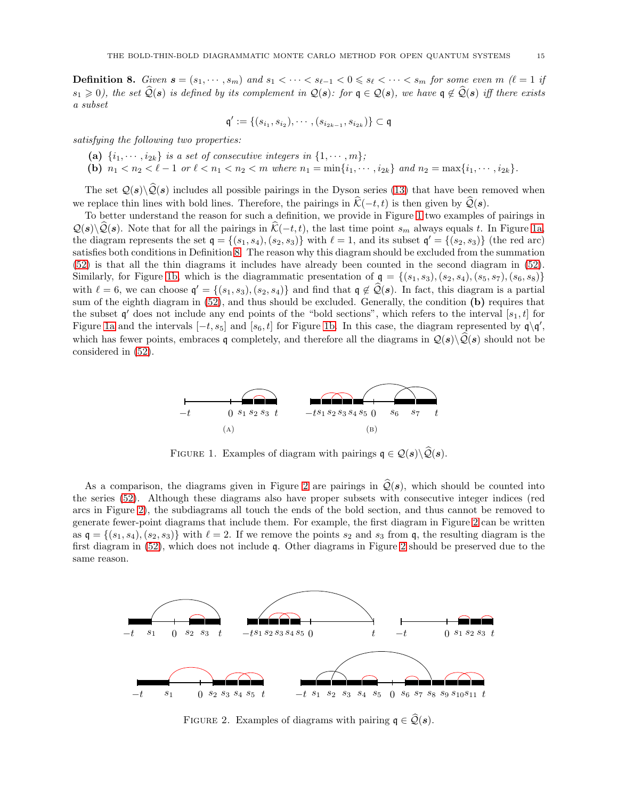**Definition 8.** Given  $s = (s_1, \dots, s_m)$  and  $s_1 < \dots < s_{\ell-1} < 0 \leq s_\ell < \dots < s_m$  for some even  $m \ (\ell = 1 \text{ if }$  $s_1 \geq 0$ , the set  $\widehat{Q}(s)$  is defined by its complement in  $Q(s)$ : for  $q \in Q(s)$ , we have  $q \notin \widehat{Q}(s)$  iff there exists a subset

$$
\mathfrak{q}':=\{(s_{i_1},s_{i_2}),\cdots,(s_{i_{2k-1}},s_{i_{2k}})\}\subset\mathfrak{q}
$$

satisfying the following two properties:

- (a)  $\{i_1, \dots, i_{2k}\}$  is a set of consecutive integers in  $\{1, \dots, m\}$ ;
- (b)  $n_1 < n_2 < \ell 1$  or  $\ell < n_1 < n_2 < m$  where  $n_1 = \min\{i_1, \dots, i_{2k}\}\$  and  $n_2 = \max\{i_1, \dots, i_{2k}\}\$ .

The set  $\mathcal{Q}(s)\backslash\widehat{\mathcal{Q}}(s)$  includes all possible pairings in the Dyson series [\(13\)](#page-4-4) that have been removed when we replace thin lines with bold lines. Therefore, the pairings in  $\hat{\mathcal{K}}(-t, t)$  is then given by  $\hat{\mathcal{Q}}(s)$ .

To better understand the reason for such a definition, we provide in Figure [1](#page-14-0) two examples of pairings in  $\mathcal{Q}(s)\backslash\mathcal{Q}(s)$ . Note that for all the pairings in  $\mathcal{K}(-t, t)$ , the last time point  $s_m$  always equals t. In Figure [1a,](#page-14-1) the diagram represents the set  $q = \{(s_1, s_4), (s_2, s_3)\}\$  with  $\ell = 1$ , and its subset  $q' = \{(s_2, s_3)\}\$  (the red arc) satisfies both conditions in Definition [8.](#page-13-1) The reason why this diagram should be excluded from the summation [\(52\)](#page-13-0) is that all the thin diagrams it includes have already been counted in the second diagram in [\(52\)](#page-13-0). Similarly, for Figure [1b,](#page-14-2) which is the diagrammatic presentation of  $q = \{(s_1, s_3), (s_2, s_4), (s_5, s_7), (s_6, s_8)\}\$ with  $\ell = 6$ , we can choose  $\mathfrak{q}' = \{(s_1, s_3), (s_2, s_4)\}\$  and find that  $\mathfrak{q} \notin \mathcal{Q}(s)$ . In fact, this diagram is a partial sum of the eighth diagram in [\(52\)](#page-13-0), and thus should be excluded. Generally, the condition (b) requires that the subset  $\mathfrak{q}'$  does not include any end points of the "bold sections", which refers to the interval  $[s_1, t]$  for Figure [1a](#page-14-1) and the intervals  $[-t, s_5]$  and  $[s_6, t]$  for Figure [1b.](#page-14-2) In this case, the diagram represented by  $\mathfrak{q} \setminus \mathfrak{q}'$ , which has fewer points, embraces q completely, and therefore all the diagrams in  $\mathcal{Q}(s)\backslash\hat{\mathcal{Q}}(s)$  should not be considered in [\(52\)](#page-13-0).

<span id="page-14-2"></span><span id="page-14-1"></span><span id="page-14-0"></span>

FIGURE 1. Examples of diagram with pairings  $q \in \mathcal{Q}(s) \backslash \mathcal{Q}(s)$ .

As a comparison, the diagrams given in Figure [2](#page-14-3) are pairings in  $\mathcal{Q}(s)$ , which should be counted into the series [\(52\)](#page-13-0). Although these diagrams also have proper subsets with consecutive integer indices (red arcs in Figure [2\)](#page-14-3), the subdiagrams all touch the ends of the bold section, and thus cannot be removed to generate fewer-point diagrams that include them. For example, the first diagram in Figure [2](#page-14-3) can be written as  $\mathfrak{q} = \{(s_1, s_4), (s_2, s_3)\}\$  with  $\ell = 2$ . If we remove the points  $s_2$  and  $s_3$  from  $\mathfrak{q}$ , the resulting diagram is the first diagram in [\(52\)](#page-13-0), which does not include q. Other diagrams in Figure [2](#page-14-3) should be preserved due to the same reason.

<span id="page-14-3"></span>

FIGURE 2. Examples of diagrams with pairing  $q \in \hat{Q}(s)$ .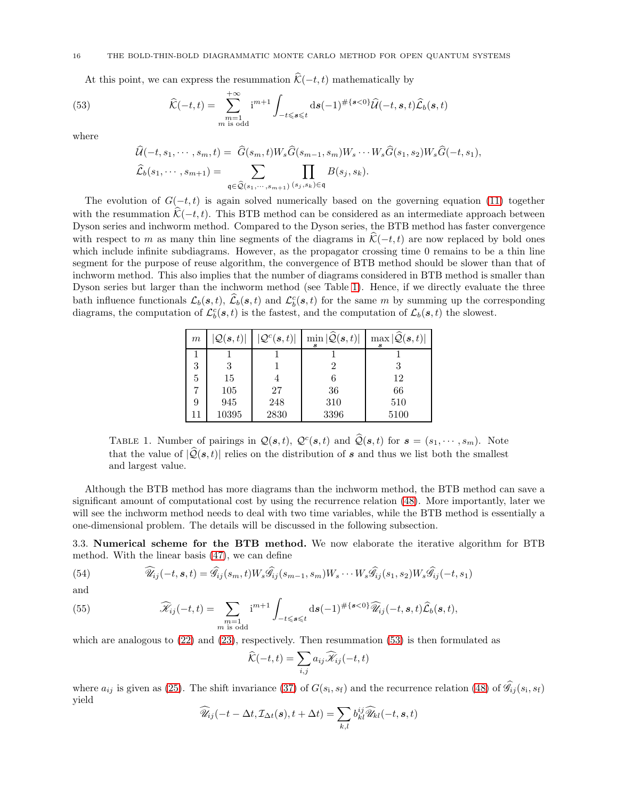#### 16 THE BOLD-THIN-BOLD DIAGRAMMATIC MONTE CARLO METHOD FOR OPEN QUANTUM SYSTEMS

At this point, we can express the resummation  $\hat{\mathcal{K}}(-t, t)$  mathematically by

(53) 
$$
\widehat{\mathcal{K}}(-t,t) = \sum_{\substack{m=1 \ m \text{ is odd}}}^{+\infty} i^{m+1} \int_{-t \leq s \leq t} ds (-1)^{\#\{s < 0\}} \widehat{\mathcal{U}}(-t,s,t) \widehat{\mathcal{L}}_b(s,t)
$$

where

<span id="page-15-2"></span>
$$
\widehat{\mathcal{U}}(-t, s_1, \cdots, s_m, t) = \widehat{G}(s_m, t)W_s\widehat{G}(s_{m-1}, s_m)W_s \cdots W_s\widehat{G}(s_1, s_2)W_s\widehat{G}(-t, s_1),
$$
  

$$
\widehat{\mathcal{L}}_b(s_1, \cdots, s_{m+1}) = \sum_{\mathfrak{q} \in \widehat{\mathcal{Q}}(s_1, \cdots, s_{m+1})} \prod_{(s_j, s_k) \in \mathfrak{q}} B(s_j, s_k).
$$

The evolution of  $G(-t, t)$  is again solved numerically based on the governing equation [\(11\)](#page-4-3) together with the resummation  $\hat{\mathcal{K}}(-t, t)$ . This BTB method can be considered as an intermediate approach between Dyson series and inchworm method. Compared to the Dyson series, the BTB method has faster convergence with respect to m as many thin line segments of the diagrams in  $\hat{\mathcal{K}}(-t, t)$  are now replaced by bold ones which include infinite subdiagrams. However, as the propagator crossing time 0 remains to be a thin line segment for the purpose of reuse algorithm, the convergence of BTB method should be slower than that of inchworm method. This also implies that the number of diagrams considered in BTB method is smaller than Dyson series but larger than the inchworm method (see Table [1\)](#page-15-1). Hence, if we directly evaluate the three bath influence functionals  $\mathcal{L}_b(s,t)$ ,  $\widehat{\mathcal{L}}_b(s,t)$  and  $\mathcal{L}_b^c(s,t)$  for the same m by summing up the corresponding diagrams, the computation of  $\mathcal{L}_{b}^{c}(s,t)$  is the fastest, and the computation of  $\mathcal{L}_{b}(s,t)$  the slowest.

<span id="page-15-1"></span>

| m  | $ \mathcal{Q}(\bm{s},t) $ | $ \mathcal{Q}^c(\boldsymbol{s},t) $ | $\min  \widehat{\mathcal{Q}}(\boldsymbol{s},t) $ | $\max  \widehat{\mathcal{Q}}(\boldsymbol{s},t) $ |
|----|---------------------------|-------------------------------------|--------------------------------------------------|--------------------------------------------------|
|    |                           |                                     |                                                  |                                                  |
| 3  | 3                         |                                     |                                                  |                                                  |
| 5  | 15                        |                                     |                                                  | 12                                               |
|    | 105                       | 27                                  | 36                                               | 66                                               |
| 9  | 945                       | 248                                 | 310                                              | 510                                              |
| 11 | 10395                     | 2830                                | 3396                                             | 5100                                             |

TABLE 1. Number of pairings in  $\mathcal{Q}(\mathbf{s},t)$ ,  $\mathcal{Q}^c(\mathbf{s},t)$  and  $\widehat{\mathcal{Q}}(\mathbf{s},t)$  for  $\mathbf{s}=(s_1,\cdots,s_m)$ . Note that the value of  $|\hat{Q}(\mathbf{s}, t)|$  relies on the distribution of s and thus we list both the smallest and largest value.

Although the BTB method has more diagrams than the inchworm method, the BTB method can save a significant amount of computational cost by using the recurrence relation [\(48\)](#page-12-3). More importantly, later we will see the inchworm method needs to deal with two time variables, while the BTB method is essentially a one-dimensional problem. The details will be discussed in the following subsection.

<span id="page-15-0"></span>3.3. Numerical scheme for the BTB method. We now elaborate the iterative algorithm for BTB method. With the linear basis [\(47\)](#page-12-4), we can define

<span id="page-15-3"></span>(54) 
$$
\widehat{\mathscr{U}}_{ij}(-t,s,t) = \widehat{\mathscr{G}}_{ij}(s_m,t)W_s\widehat{\mathscr{G}}_{ij}(s_{m-1},s_m)W_s\cdots W_s\widehat{\mathscr{G}}_{ij}(s_1,s_2)W_s\widehat{\mathscr{G}}_{ij}(-t,s_1)
$$

and

(55) 
$$
\widehat{\mathscr{K}}_{ij}(-t,t) = \sum_{\substack{m=1 \ m \text{ is odd}}} i^{m+1} \int_{-t \leq s \leq t} ds (-1)^{\#\{s < 0\}} \widehat{\mathscr{U}}_{ij}(-t,s,t) \widehat{\mathscr{L}}_b(s,t),
$$

which are analogous to  $(22)$  and  $(23)$ , respectively. Then resummation  $(53)$  is then formulated as

$$
\widehat{\mathcal{K}}(-t,t) = \sum_{i,j} a_{ij} \widehat{\mathscr{K}}_{ij}(-t,t)
$$

where  $a_{ij}$  is given as [\(25\)](#page-6-5). The shift invariance [\(37\)](#page-9-5) of  $G(s_i, s_f)$  and the recurrence relation [\(48\)](#page-12-3) of  $\widehat{\mathscr{G}}_{ij}(s_i, s_f)$ yield

$$
\widehat{\mathscr{U}}_{ij}(-t-\Delta t, \mathcal{I}_{\Delta t}(\boldsymbol{s}), t+\Delta t) = \sum_{k,l} b^{ij}_{kl} \widehat{\mathscr{U}}_{kl}(-t, \boldsymbol{s}, t)
$$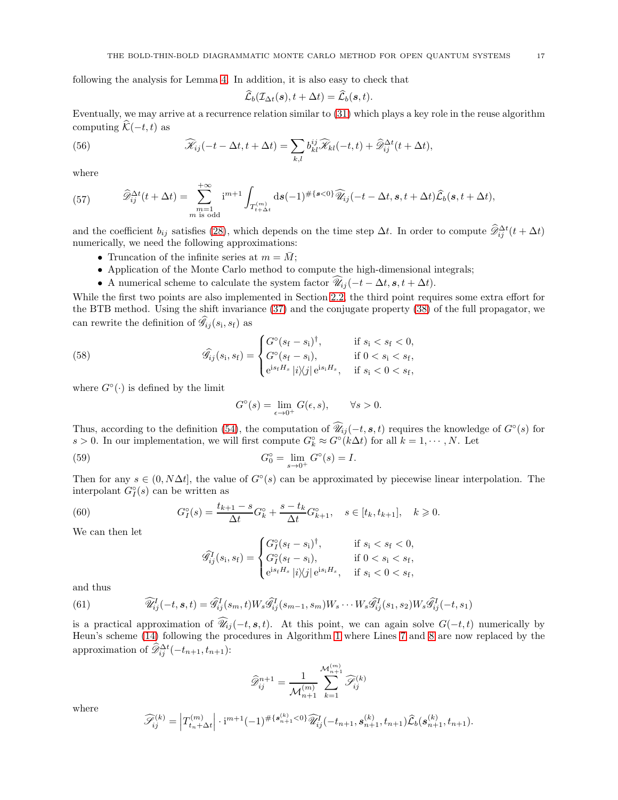following the analysis for Lemma [4.](#page-6-7) In addition, it is also easy to check that

$$
\widehat{\mathcal{L}}_b(\mathcal{I}_{\Delta t}(\boldsymbol{s}), t + \Delta t) = \widehat{\mathcal{L}}_b(\boldsymbol{s}, t).
$$

Eventually, we may arrive at a recurrence relation similar to [\(31\)](#page-8-4) which plays a key role in the reuse algorithm computing  $\widehat{\mathcal{K}}(-t, t)$  as

(56) 
$$
\widehat{\mathscr{K}}_{ij}(-t-\Delta t, t+\Delta t) = \sum_{k,l} b_{kl}^{ij} \widehat{\mathscr{K}}_{kl}(-t,t) + \widehat{\mathscr{D}}_{ij}^{\Delta t}(t+\Delta t),
$$

where

(57) 
$$
\widehat{\mathscr{D}}_{ij}^{\Delta t}(t+\Delta t) = \sum_{\substack{m=1 \ m \ \text{is odd}}}^{+\infty} i^{m+1} \int_{T_{t+\Delta t}^{(m)}} ds (-1)^{\#\{s<0\}} \widehat{\mathscr{U}}_{ij}(-t-\Delta t, s, t+\Delta t) \widehat{\mathcal{L}}_b(s, t+\Delta t),
$$

and the coefficient  $b_{ij}$  satisfies [\(28\)](#page-7-2), which depends on the time step  $\Delta t$ . In order to compute  $\widehat{\mathscr{D}}_{ij}^{\Delta t}(t + \Delta t)$ numerically, we need the following approximations:

- Truncation of the infinite series at  $m = \overline{M}$ ;
- Application of the Monte Carlo method to compute the high-dimensional integrals;
- A numerical scheme to calculate the system factor  $\hat{\mathscr{U}}_{ij}(-t \Delta t, \mathbf{s}, t + \Delta t)$ .

While the first two points are also implemented in Section [2.2,](#page-5-5) the third point requires some extra effort for the BTB method. Using the shift invariance [\(37\)](#page-9-5) and the conjugate property [\(38\)](#page-10-5) of the full propagator, we can rewrite the definition of  $\widehat{\mathscr{G}}_{ij}(s_i, s_f)$  as

(58) 
$$
\widehat{\mathcal{G}}_{ij}(s_i, s_f) = \begin{cases} G^{\circ}(s_f - s_i)^{\dagger}, & \text{if } s_i < s_f < 0, \\ G^{\circ}(s_f - s_i), & \text{if } 0 < s_i < s_f, \\ e^{is_f H_s} |i \rangle \langle j| e^{is_i H_s}, & \text{if } s_i < 0 < s_f, \end{cases}
$$

where  $G^{\circ}(\cdot)$  is defined by the limit

<span id="page-16-2"></span><span id="page-16-0"></span>
$$
G^{\circ}(s) = \lim_{\epsilon \to 0^{+}} G(\epsilon, s), \qquad \forall s > 0.
$$

Thus, according to the definition [\(54\)](#page-15-3), the computation of  $\widehat{\mathscr{U}}_{ij}(-t, s, t)$  requires the knowledge of  $G^{\circ}(s)$  for s > 0. In our implementation, we will first compute  $G_k^{\circ} \approx G^{\circ}(k\Delta t)$  for all  $k = 1, \dots, N$ . Let

(59) 
$$
G_0^\circ = \lim_{s \to 0^+} G^\circ(s) = I.
$$

Then for any  $s \in (0, N\Delta t]$ , the value of  $G<sup>°</sup>(s)$  can be approximated by piecewise linear interpolation. The interpolant  $G_I^{\circ}(s)$  can be written as

(60) 
$$
G_I^{\circ}(s) = \frac{t_{k+1} - s}{\Delta t} G_k^{\circ} + \frac{s - t_k}{\Delta t} G_{k+1}^{\circ}, \quad s \in [t_k, t_{k+1}], \quad k \geq 0.
$$

We can then let

$$
\widehat{\mathcal{G}}_{ij}^{I}(s_{i}, s_{f}) = \begin{cases} G_{I}^{\circ}(s_{f} - s_{i})^{\dagger}, & \text{if } s_{i} < s_{f} < 0, \\ G_{I}^{\circ}(s_{f} - s_{i}), & \text{if } 0 < s_{i} < s_{f}, \\ e^{is_{f}H_{s}} |i\rangle\!\langle j| e^{is_{i}H_{s}}, & \text{if } s_{i} < 0 < s_{f}, \end{cases}
$$

and thus

<span id="page-16-1"></span>(61) 
$$
\widehat{\mathscr{U}}_{ij}^I(-t,s,t) = \widehat{\mathscr{G}}_{ij}^I(s_m,t)W_s\widehat{\mathscr{G}}_{ij}^I(s_{m-1},s_m)W_s\cdots W_s\widehat{\mathscr{G}}_{ij}^I(s_1,s_2)W_s\widehat{\mathscr{G}}_{ij}^I(-t,s_1)
$$

is a practical approximation of  $\widehat{\mathscr{U}}_{ij}(-t, s, t)$ . At this point, we can again solve  $G(-t, t)$  numerically by Heun's scheme [\(14\)](#page-5-1) following the procedures in Algorithm [1](#page-8-0) where Lines [7](#page-8-2) and [8](#page-8-3) are now replaced by the approximation of  $\widehat{\mathscr{D}}_{ij}^{\Delta t}(-t_{n+1}, t_{n+1})$ :

$$
\widehat{\mathscr{D}}_{ij}^{n+1} = \frac{1}{\mathcal{M}_{n+1}^{(m)}} \sum_{k=1}^{\mathcal{M}_{n+1}^{(m)}} \widehat{\mathscr{S}}_{ij}^{(k)}
$$

where

$$
\widehat{\mathcal{S}}_{ij}^{(k)} = \left| T_{t_n + \Delta t}^{(m)} \right| \cdot i^{m+1} (-1)^{\#\{ \mathbf{s}_{n+1}^{(k)} < 0 \}} \widehat{\mathcal{U}}_{ij}^I(-t_{n+1}, \mathbf{s}_{n+1}^{(k)}, t_{n+1}) \widehat{\mathcal{L}}_b(\mathbf{s}_{n+1}^{(k)}, t_{n+1}).
$$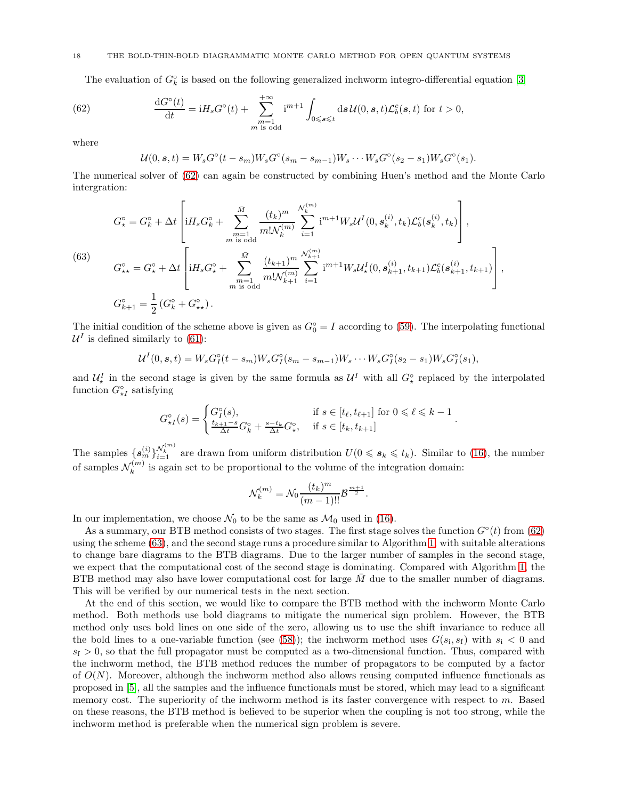### 18 THE BOLD-THIN-BOLD DIAGRAMMATIC MONTE CARLO METHOD FOR OPEN QUANTUM SYSTEMS

The evaluation of  $G_k^{\circ}$  is based on the following generalized inchworm integro-differential equation [\[3\]](#page-21-4)

(62) 
$$
\frac{\mathrm{d}G^{\circ}(t)}{\mathrm{d}t} = iH_s G^{\circ}(t) + \sum_{\substack{m=1 \ m \text{ is odd}}}^{+\infty} i^{m+1} \int_{0 \leqslant s \leqslant t} \mathrm{d} s \, \mathcal{U}(0, s, t) \mathcal{L}_b^c(s, t) \text{ for } t > 0,
$$

where

<span id="page-17-0"></span>
$$
U(0, s, t) = W_s G^{\circ}(t - s_m) W_s G^{\circ}(s_m - s_{m-1}) W_s \cdots W_s G^{\circ}(s_2 - s_1) W_s G^{\circ}(s_1).
$$

The numerical solver of [\(62\)](#page-17-0) can again be constructed by combining Huen's method and the Monte Carlo intergration:

<span id="page-17-1"></span>(63)  
\n
$$
G_{\star}^{\circ} = G_{k}^{\circ} + \Delta t \left[ iH_{s}G_{k}^{\circ} + \sum_{\substack{m=1 \ m \text{ is odd}}}^{\bar{M}} \frac{(t_{k})^{m}}{m! \mathcal{N}_{k}^{(m)}} \sum_{i=1}^{\mathcal{N}_{k}^{(m)}} i^{m+1} W_{s} \mathcal{U}^{I}(0, \mathbf{s}_{k}^{(i)}, t_{k}) \mathcal{L}_{b}^{c}(\mathbf{s}_{k}^{(i)}, t_{k}) \right],
$$
\n
$$
G_{\star\star}^{\circ} = G_{\star}^{\circ} + \Delta t \left[ iH_{s}G_{\star}^{\circ} + \sum_{\substack{m=1 \ m \text{ is odd}}}^{\bar{M}} \frac{(t_{k+1})^{m}}{m! \mathcal{N}_{k+1}^{(m)}} \sum_{i=1}^{\mathcal{N}_{k+1}^{(m)}} i^{m+1} W_{s} \mathcal{U}_{\star}^{I}(0, \mathbf{s}_{k+1}^{(i)}, t_{k+1}) \mathcal{L}_{b}^{c}(\mathbf{s}_{k+1}^{(i)}, t_{k+1}) \right],
$$
\n
$$
G_{k+1}^{\circ} = \frac{1}{2} (G_{k}^{\circ} + G_{\star\star}^{\circ}).
$$

The initial condition of the scheme above is given as  $G_0^\circ = I$  according to [\(59\)](#page-16-0). The interpolating functional  $\mathcal{U}^{I}$  is defined similarly to [\(61\)](#page-16-1):

$$
\mathcal{U}^{I}(0, \mathbf{s}, t) = W_{s}G_{I}^{\circ}(t - s_{m})W_{s}G_{I}^{\circ}(s_{m} - s_{m-1})W_{s} \cdots W_{s}G_{I}^{\circ}(s_{2} - s_{1})W_{s}G_{I}^{\circ}(s_{1}),
$$

and  $\mathcal{U}_{\star}^{I}$  in the second stage is given by the same formula as  $\mathcal{U}^{I}$  with all  $G_{\star}^{\circ}$  replaced by the interpolated function  $G_{\star I}^{\circ}$  satisfying

$$
G_{\star I}^{\circ}(s) = \begin{cases} G_{I}^{\circ}(s), & \text{if } s \in [t_{\ell}, t_{\ell+1}] \text{ for } 0 \leq \ell \leq k-1\\ \frac{t_{k+1}-s}{\Delta t} G_{k}^{\circ} + \frac{s-t_{k}}{\Delta t} G_{\star}^{\circ}, & \text{if } s \in [t_{k}, t_{k+1}] \end{cases}
$$

.

The samples  $\{s_m^{(i)}\}_{i=1}^{N_k^{(m)}}$  are drawn from uniform distribution  $U(0 \leq s_k \leq t_k)$ . Similar to [\(16\)](#page-5-0), the number of samples  $\mathcal{N}_k^{(m)}$  $k_k^{(m)}$  is again set to be proportional to the volume of the integration domain:

$$
\mathcal{N}_k^{(m)} = \mathcal{N}_0 \frac{(t_k)^m}{(m-1)!!} \mathcal{B}^{\frac{m+1}{2}}.
$$

In our implementation, we choose  $\mathcal{N}_0$  to be the same as  $\mathcal{M}_0$  used in [\(16\)](#page-5-0).

As a summary, our BTB method consists of two stages. The first stage solves the function  $G<sup>\circ</sup>(t)$  from [\(62\)](#page-17-0) using the scheme [\(63\)](#page-17-1), and the second stage runs a procedure similar to Algorithm [1,](#page-8-0) with suitable alterations to change bare diagrams to the BTB diagrams. Due to the larger number of samples in the second stage, we expect that the computational cost of the second stage is dominating. Compared with Algorithm [1,](#page-8-0) the BTB method may also have lower computational cost for large  $M$  due to the smaller number of diagrams. This will be verified by our numerical tests in the next section.

At the end of this section, we would like to compare the BTB method with the inchworm Monte Carlo method. Both methods use bold diagrams to mitigate the numerical sign problem. However, the BTB method only uses bold lines on one side of the zero, allowing us to use the shift invariance to reduce all the bold lines to a one-variable function (see [\(58\)](#page-16-2)); the inchworm method uses  $G(s_i, s_f)$  with  $s_i < 0$  and  $s_f > 0$ , so that the full propagator must be computed as a two-dimensional function. Thus, compared with the inchworm method, the BTB method reduces the number of propagators to be computed by a factor of  $O(N)$ . Moreover, although the inchworm method also allows reusing computed influence functionals as proposed in [\[5\]](#page-21-5), all the samples and the influence functionals must be stored, which may lead to a significant memory cost. The superiority of the inchworm method is its faster convergence with respect to  $m$ . Based on these reasons, the BTB method is believed to be superior when the coupling is not too strong, while the inchworm method is preferable when the numerical sign problem is severe.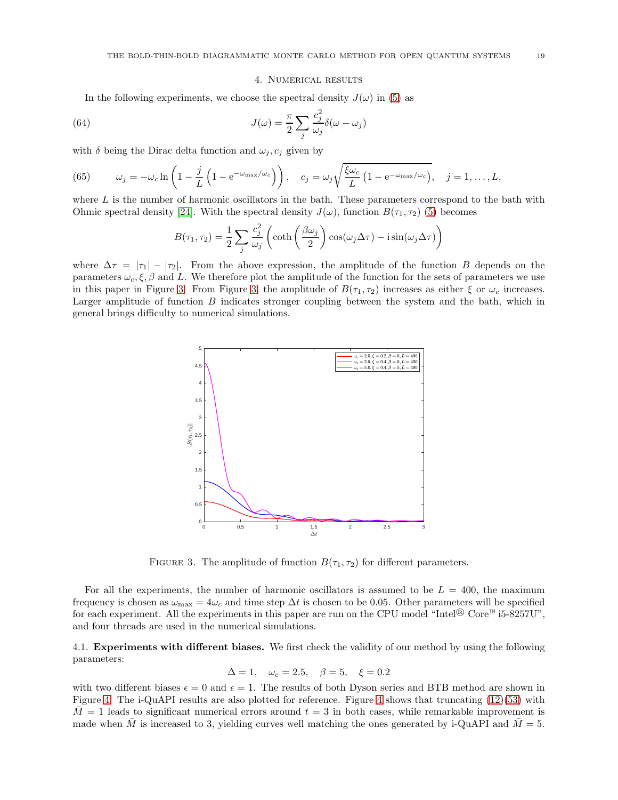#### 4. Numerical results

<span id="page-18-0"></span>In the following experiments, we choose the spectral density  $J(\omega)$  in [\(5\)](#page-3-3) as

(64) 
$$
J(\omega) = \frac{\pi}{2} \sum_{j} \frac{c_j^2}{\omega_j} \delta(\omega - \omega_j)
$$

with  $\delta$  being the Dirac delta function and  $\omega_i$ ,  $c_i$  given by

(65) 
$$
\omega_j = -\omega_c \ln \left( 1 - \frac{j}{L} \left( 1 - e^{-\omega_{\text{max}}/\omega_c} \right) \right), \quad c_j = \omega_j \sqrt{\frac{\xi \omega_c}{L} \left( 1 - e^{-\omega_{\text{max}}/\omega_c} \right)}, \quad j = 1, ..., L,
$$

where  $L$  is the number of harmonic oscillators in the bath. These parameters correspond to the bath with Ohmic spectral density [\[24\]](#page-22-35). With the spectral density  $J(\omega)$ , function  $B(\tau_1, \tau_2)$  [\(5\)](#page-3-3) becomes

$$
B(\tau_1, \tau_2) = \frac{1}{2} \sum_j \frac{c_j^2}{\omega_j} \left( \coth\left(\frac{\beta \omega_j}{2}\right) \cos(\omega_j \Delta \tau) - i \sin(\omega_j \Delta \tau) \right)
$$

<span id="page-18-1"></span>where  $\Delta \tau = |\tau_1| - |\tau_2|$ . From the above expression, the amplitude of the function B depends on the parameters  $\omega_c, \xi, \beta$  and L. We therefore plot the amplitude of the function for the sets of parameters we use in this paper in Figure [3.](#page-18-1) From Figure [3,](#page-18-1) the amplitude of  $B(\tau_1, \tau_2)$  increases as either  $\xi$  or  $\omega_c$  increases. Larger amplitude of function B indicates stronger coupling between the system and the bath, which in general brings difficulty to numerical simulations.



FIGURE 3. The amplitude of function  $B(\tau_1, \tau_2)$  for different parameters.

For all the experiments, the number of harmonic oscillators is assumed to be  $L = 400$ , the maximum frequency is chosen as  $\omega_{\text{max}} = 4\omega_c$  and time step  $\Delta t$  is chosen to be 0.05. Other parameters will be specified for each experiment. All the experiments in this paper are run on the CPU model "Intel® Core™ i5-8257U", and four threads are used in the numerical simulations.

4.1. Experiments with different biases. We first check the validity of our method by using the following parameters:

$$
\Delta = 1
$$
,  $\omega_c = 2.5$ ,  $\beta = 5$ ,  $\xi = 0.2$ 

with two different biases  $\epsilon = 0$  and  $\epsilon = 1$ . The results of both Dyson series and BTB method are shown in Figure [4.](#page-19-0) The i-QuAPI results are also plotted for reference. Figure [4](#page-19-0) shows that truncating [\(12\)](#page-4-1)[\(53\)](#page-15-2) with  $M=1$  leads to significant numerical errors around  $t=3$  in both cases, while remarkable improvement is made when M is increased to 3, yielding curves well matching the ones generated by i-QuAPI and  $\overline{M} = 5$ .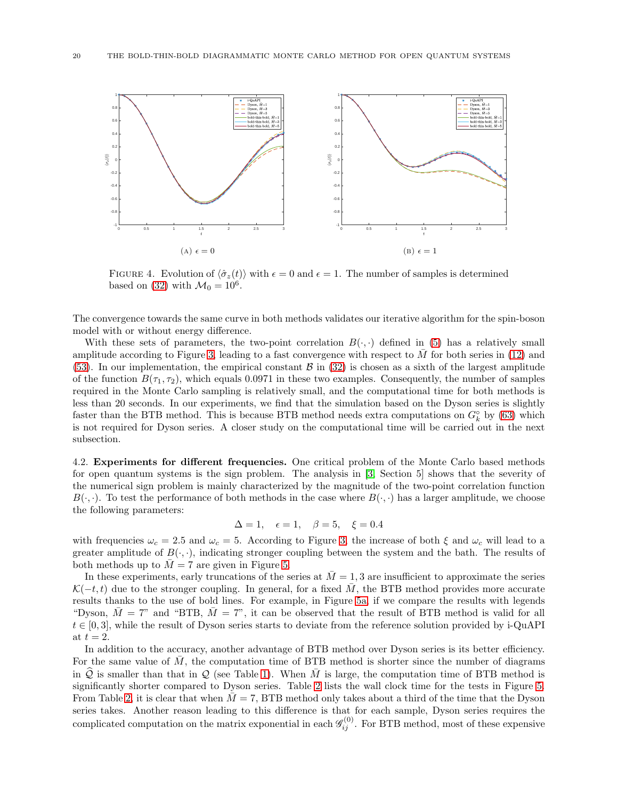<span id="page-19-0"></span>

FIGURE 4. Evolution of  $\langle \hat{\sigma}_z(t) \rangle$  with  $\epsilon = 0$  and  $\epsilon = 1$ . The number of samples is determined based on [\(32\)](#page-8-5) with  $\mathcal{M}_0 = 10^6$ .

The convergence towards the same curve in both methods validates our iterative algorithm for the spin-boson model with or without energy difference.

With these sets of parameters, the two-point correlation  $B(\cdot, \cdot)$  defined in [\(5\)](#page-3-3) has a relatively small amplitude according to Figure [3,](#page-18-1) leading to a fast convergence with respect to  $M$  for both series in [\(12\)](#page-4-1) and [\(53\)](#page-15-2). In our implementation, the empirical constant  $\beta$  in [\(32\)](#page-8-5) is chosen as a sixth of the largest amplitude of the function  $B(\tau_1, \tau_2)$ , which equals 0.0971 in these two examples. Consequently, the number of samples required in the Monte Carlo sampling is relatively small, and the computational time for both methods is less than 20 seconds. In our experiments, we find that the simulation based on the Dyson series is slightly faster than the BTB method. This is because BTB method needs extra computations on  $G_{k}^{\circ}$  by [\(63\)](#page-17-1) which is not required for Dyson series. A closer study on the computational time will be carried out in the next subsection.

<span id="page-19-1"></span>4.2. Experiments for different frequencies. One critical problem of the Monte Carlo based methods for open quantum systems is the sign problem. The analysis in [\[3,](#page-21-4) Section 5] shows that the severity of the numerical sign problem is mainly characterized by the magnitude of the two-point correlation function  $B(\cdot, \cdot)$ . To test the performance of both methods in the case where  $B(\cdot, \cdot)$  has a larger amplitude, we choose the following parameters:

$$
\Delta = 1, \quad \epsilon = 1, \quad \beta = 5, \quad \xi = 0.4
$$

with frequencies  $\omega_c = 2.5$  and  $\omega_c = 5$ . According to Figure [3,](#page-18-1) the increase of both  $\xi$  and  $\omega_c$  will lead to a greater amplitude of  $B(\cdot, \cdot)$ , indicating stronger coupling between the system and the bath. The results of both methods up to  $\overline{M} = 7$  are given in Figure [5.](#page-20-0)

In these experiments, early truncations of the series at  $\overline{M} = 1, 3$  are insufficient to approximate the series  $\mathcal{K}(-t, t)$  due to the stronger coupling. In general, for a fixed M, the BTB method provides more accurate results thanks to the use of bold lines. For example, in Figure [5a,](#page-20-1) if we compare the results with legends "Dyson,  $M = 7$ " and "BTB,  $M = 7$ ", it can be observed that the result of BTB method is valid for all  $t \in [0, 3]$ , while the result of Dyson series starts to deviate from the reference solution provided by i-QuAPI at  $t = 2$ .

In addition to the accuracy, another advantage of BTB method over Dyson series is its better efficiency. For the same value of  $\overline{M}$ , the computation time of BTB method is shorter since the number of diagrams in Q is smaller than that in Q (see Table [1\)](#page-15-1). When  $\overline{M}$  is large, the computation time of BTB method is significantly shorter compared to Dyson series. Table [2](#page-20-2) lists the wall clock time for the tests in Figure [5.](#page-20-0) From Table [2,](#page-20-2) it is clear that when  $M = 7$ , BTB method only takes about a third of the time that the Dyson series takes. Another reason leading to this difference is that for each sample, Dyson series requires the complicated computation on the matrix exponential in each  $\mathscr{G}_{ij}^{(0)}$ . For BTB method, most of these expensive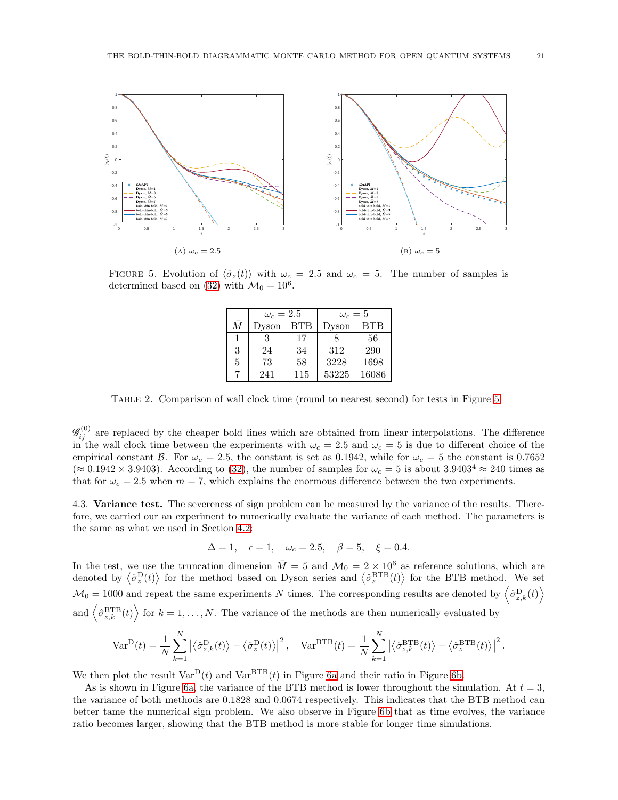<span id="page-20-1"></span><span id="page-20-0"></span>

<span id="page-20-2"></span>FIGURE 5. Evolution of  $\langle \hat{\sigma}_z(t) \rangle$  with  $\omega_c = 2.5$  and  $\omega_c = 5$ . The number of samples is determined based on [\(32\)](#page-8-5) with  $\mathcal{M}_0 = 10^6$ .

|           | $\omega_c=2.5$ |            | $\omega_c=5$ |            |
|-----------|----------------|------------|--------------|------------|
| $\bar{M}$ | Dyson          | <b>BTB</b> | Dyson        | <b>BTB</b> |
|           | 3              | 17         | я            | 56         |
| 3         | 24             | 34         | 312          | 290        |
| 5         | 73             | 58         | 3228         | 1698       |
|           | 241            | 115        | 53225        | 16086      |

Table 2. Comparison of wall clock time (round to nearest second) for tests in Figure [5.](#page-20-0)

 $\mathscr{G}_{ij}^{(0)}$  are replaced by the cheaper bold lines which are obtained from linear interpolations. The difference in the wall clock time between the experiments with  $\omega_c = 2.5$  and  $\omega_c = 5$  is due to different choice of the empirical constant B. For  $\omega_c = 2.5$ , the constant is set as 0.1942, while for  $\omega_c = 5$  the constant is 0.7652 ( $\approx 0.1942 \times 3.9403$ ). According to [\(32\)](#page-8-5), the number of samples for  $\omega_c = 5$  is about  $3.9403^4 \approx 240$  times as that for  $\omega_c = 2.5$  when  $m = 7$ , which explains the enormous difference between the two experiments.

4.3. Variance test. The severeness of sign problem can be measured by the variance of the results. Therefore, we carried our an experiment to numerically evaluate the variance of each method. The parameters is the same as what we used in Section [4.2:](#page-19-1)

$$
\Delta = 1
$$
,  $\epsilon = 1$ ,  $\omega_c = 2.5$ ,  $\beta = 5$ ,  $\xi = 0.4$ .

In the test, we use the truncation dimension  $\overline{M} = 5$  and  $\mathcal{M}_0 = 2 \times 10^6$  as reference solutions, which are denoted by  $\langle \hat{\sigma}_z^{\text{D}}(t) \rangle$  for the method based on Dyson series and  $\langle \hat{\sigma}_z^{\text{BTB}}(t) \rangle$  for the BTB method. We set  $\mathcal{M}_0 = 1000$  and repeat the same experiments N times. The corresponding results are denoted by  $\left\langle \hat{\sigma}_{z,k}^{\text{D}}(t) \right\rangle$ and  $\left\langle \hat{\sigma}_{z,k}^{\text{BTB}}(t) \right\rangle$  for  $k = 1, \ldots, N$ . The variance of the methods are then numerically evaluated by

$$
\text{Var}^{\text{D}}(t) = \frac{1}{N} \sum_{k=1}^{N} \left| \left\langle \hat{\sigma}_{z,k}^{\text{D}}(t) \right\rangle - \left\langle \hat{\sigma}_{z}^{\text{D}}(t) \right\rangle \right|^{2}, \quad \text{Var}^{\text{BTB}}(t) = \frac{1}{N} \sum_{k=1}^{N} \left| \left\langle \hat{\sigma}_{z,k}^{\text{BTB}}(t) \right\rangle - \left\langle \hat{\sigma}_{z}^{\text{BTB}}(t) \right\rangle \right|^{2}.
$$

We then plot the result  $Var^D(t)$  and  $Var^{BTB}(t)$  in Figure [6a](#page-21-7) and their ratio in Figure [6b.](#page-21-8)

As is shown in Figure [6a,](#page-21-7) the variance of the BTB method is lower throughout the simulation. At  $t = 3$ , the variance of both methods are 0.1828 and 0.0674 respectively. This indicates that the BTB method can better tame the numerical sign problem. We also observe in Figure [6b](#page-21-8) that as time evolves, the variance ratio becomes larger, showing that the BTB method is more stable for longer time simulations.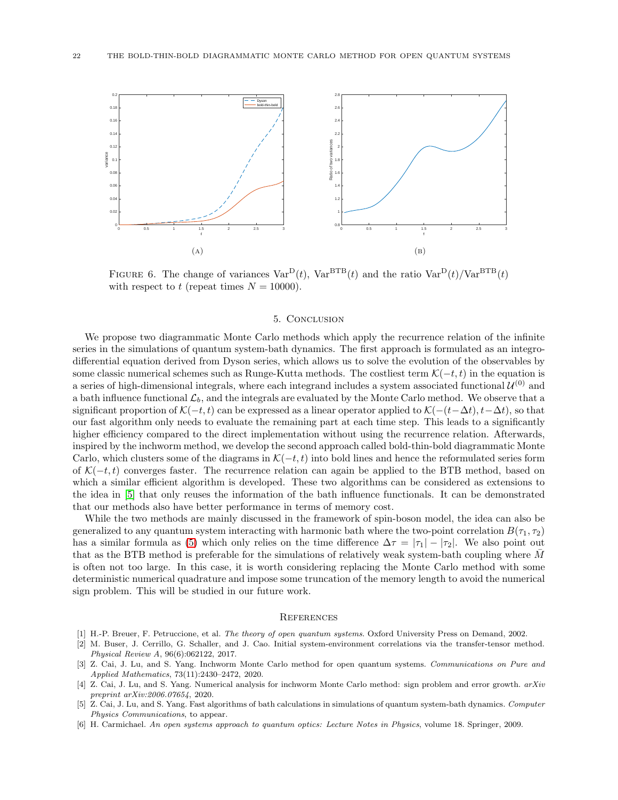<span id="page-21-7"></span>

FIGURE 6. The change of variances  $Var^D(t)$ ,  $Var^{BTB}(t)$  and the ratio  $Var^D(t)/Var^{BTB}(t)$ with respect to t (repeat times  $N = 10000$ ).

### <span id="page-21-8"></span>5. Conclusion

<span id="page-21-6"></span>We propose two diagrammatic Monte Carlo methods which apply the recurrence relation of the infinite series in the simulations of quantum system-bath dynamics. The first approach is formulated as an integrodifferential equation derived from Dyson series, which allows us to solve the evolution of the observables by some classic numerical schemes such as Runge-Kutta methods. The costliest term  $\mathcal{K}(-t, t)$  in the equation is a series of high-dimensional integrals, where each integrand includes a system associated functional  $\mathcal{U}^{(0)}$  and a bath influence functional  $\mathcal{L}_b$ , and the integrals are evaluated by the Monte Carlo method. We observe that a significant proportion of  $\mathcal{K}(-t,t)$  can be expressed as a linear operator applied to  $\mathcal{K}(-(t-\Delta t), t-\Delta t)$ , so that our fast algorithm only needs to evaluate the remaining part at each time step. This leads to a significantly higher efficiency compared to the direct implementation without using the recurrence relation. Afterwards, inspired by the inchworm method, we develop the second approach called bold-thin-bold diagrammatic Monte Carlo, which clusters some of the diagrams in  $\mathcal{K}(-t, t)$  into bold lines and hence the reformulated series form of  $\mathcal{K}(-t,t)$  converges faster. The recurrence relation can again be applied to the BTB method, based on which a similar efficient algorithm is developed. These two algorithms can be considered as extensions to the idea in [\[5\]](#page-21-5) that only reuses the information of the bath influence functionals. It can be demonstrated that our methods also have better performance in terms of memory cost.

While the two methods are mainly discussed in the framework of spin-boson model, the idea can also be generalized to any quantum system interacting with harmonic bath where the two-point correlation  $B(\tau_1, \tau_2)$ has a similar formula as [\(5\)](#page-3-3) which only relies on the time difference  $\Delta \tau = |\tau_1| - |\tau_2|$ . We also point out that as the BTB method is preferable for the simulations of relatively weak system-bath coupling where  $M$ is often not too large. In this case, it is worth considering replacing the Monte Carlo method with some deterministic numerical quadrature and impose some truncation of the memory length to avoid the numerical sign problem. This will be studied in our future work.

#### **REFERENCES**

- <span id="page-21-2"></span><span id="page-21-0"></span>[1] H.-P. Breuer, F. Petruccione, et al. *The theory of open quantum systems*. Oxford University Press on Demand, 2002.
- [2] M. Buser, J. Cerrillo, G. Schaller, and J. Cao. Initial system-environment correlations via the transfer-tensor method. *Physical Review A*, 96(6):062122, 2017.
- <span id="page-21-4"></span>[3] Z. Cai, J. Lu, and S. Yang. Inchworm Monte Carlo method for open quantum systems. *Communications on Pure and Applied Mathematics*, 73(11):2430–2472, 2020.
- <span id="page-21-3"></span>[4] Z. Cai, J. Lu, and S. Yang. Numerical analysis for inchworm Monte Carlo method: sign problem and error growth. *arXiv preprint arXiv:2006.07654*, 2020.
- <span id="page-21-5"></span>[5] Z. Cai, J. Lu, and S. Yang. Fast algorithms of bath calculations in simulations of quantum system-bath dynamics. *Computer Physics Communications*, to appear.
- <span id="page-21-1"></span>[6] H. Carmichael. *An open systems approach to quantum optics: Lecture Notes in Physics*, volume 18. Springer, 2009.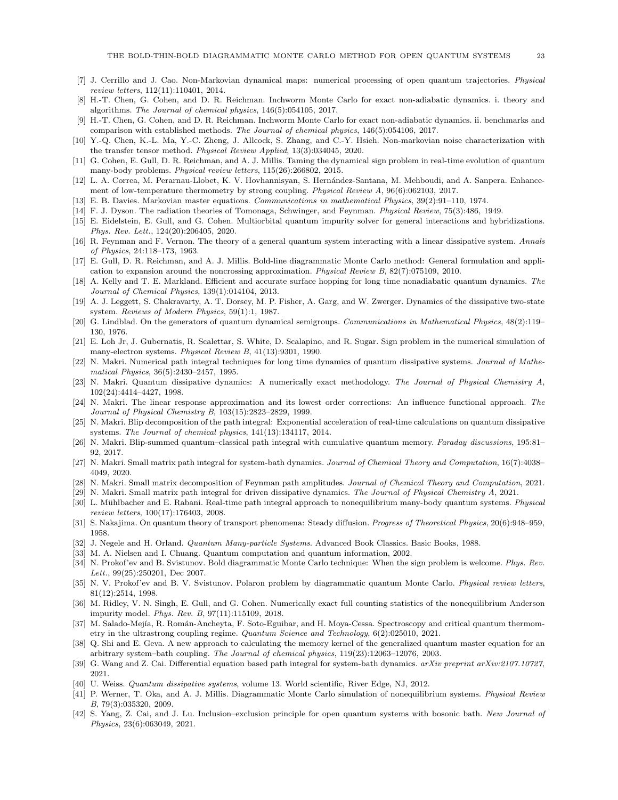- <span id="page-22-25"></span><span id="page-22-19"></span>[7] J. Cerrillo and J. Cao. Non-Markovian dynamical maps: numerical processing of open quantum trajectories. *Physical review letters*, 112(11):110401, 2014.
- [8] H.-T. Chen, G. Cohen, and D. R. Reichman. Inchworm Monte Carlo for exact non-adiabatic dynamics. i. theory and algorithms. *The Journal of chemical physics*, 146(5):054105, 2017.
- <span id="page-22-26"></span>[9] H.-T. Chen, G. Cohen, and D. R. Reichman. Inchworm Monte Carlo for exact non-adiabatic dynamics. ii. benchmarks and comparison with established methods. *The Journal of chemical physics*, 146(5):054106, 2017.
- <span id="page-22-20"></span>[10] Y.-Q. Chen, K.-L. Ma, Y.-C. Zheng, J. Allcock, S. Zhang, and C.-Y. Hsieh. Non-markovian noise characterization with the transfer tensor method. *Physical Review Applied*, 13(3):034045, 2020.
- <span id="page-22-28"></span>[11] G. Cohen, E. Gull, D. R. Reichman, and A. J. Millis. Taming the dynamical sign problem in real-time evolution of quantum many-body problems. *Physical review letters*, 115(26):266802, 2015.
- <span id="page-22-1"></span>[12] L. A. Correa, M. Perarnau-Llobet, K. V. Hovhannisyan, S. Hernández-Santana, M. Mehboudi, and A. Sanpera. Enhancement of low-temperature thermometry by strong coupling. *Physical Review A*, 96(6):062103, 2017.
- <span id="page-22-21"></span><span id="page-22-16"></span>[13] E. B. Davies. Markovian master equations. *Communications in mathematical Physics*, 39(2):91–110, 1974.
- <span id="page-22-30"></span>[14] F. J. Dyson. The radiation theories of Tomonaga, Schwinger, and Feynman. *Physical Review*, 75(3):486, 1949.
- [15] E. Eidelstein, E. Gull, and G. Cohen. Multiorbital quantum impurity solver for general interactions and hybridizations. *Phys. Rev. Lett.*, 124(20):206405, 2020.
- <span id="page-22-5"></span>[16] R. Feynman and F. Vernon. The theory of a general quantum system interacting with a linear dissipative system. *Annals of Physics*, 24:118–173, 1963.
- <span id="page-22-32"></span>[17] E. Gull, D. R. Reichman, and A. J. Millis. Bold-line diagrammatic Monte Carlo method: General formulation and application to expansion around the noncrossing approximation. *Physical Review B*, 82(7):075109, 2010.
- <span id="page-22-18"></span>[18] A. Kelly and T. E. Markland. Efficient and accurate surface hopping for long time nonadiabatic quantum dynamics. *The Journal of Chemical Physics*, 139(1):014104, 2013.
- <span id="page-22-3"></span>[19] A. J. Leggett, S. Chakravarty, A. T. Dorsey, M. P. Fisher, A. Garg, and W. Zwerger. Dynamics of the dissipative two-state system. *Reviews of Modern Physics*, 59(1):1, 1987.
- <span id="page-22-17"></span>[20] G. Lindblad. On the generators of quantum dynamical semigroups. *Communications in Mathematical Physics*, 48(2):119– 130, 1976.
- <span id="page-22-24"></span>[21] E. Loh Jr, J. Gubernatis, R. Scalettar, S. White, D. Scalapino, and R. Sugar. Sign problem in the numerical simulation of many-electron systems. *Physical Review B*, 41(13):9301, 1990.
- <span id="page-22-6"></span>[22] N. Makri. Numerical path integral techniques for long time dynamics of quantum dissipative systems. *Journal of Mathematical Physics*, 36(5):2430–2457, 1995.
- <span id="page-22-7"></span>[23] N. Makri. Quantum dissipative dynamics: A numerically exact methodology. *The Journal of Physical Chemistry A*, 102(24):4414–4427, 1998.
- <span id="page-22-35"></span>[24] N. Makri. The linear response approximation and its lowest order corrections: An influence functional approach. *The Journal of Physical Chemistry B*, 103(15):2823–2829, 1999.
- <span id="page-22-8"></span>[25] N. Makri. Blip decomposition of the path integral: Exponential acceleration of real-time calculations on quantum dissipative systems. *The Journal of chemical physics*, 141(13):134117, 2014.
- <span id="page-22-9"></span>[26] N. Makri. Blip-summed quantum–classical path integral with cumulative quantum memory. *Faraday discussions*, 195:81– 92, 2017.
- <span id="page-22-11"></span>[27] N. Makri. Small matrix path integral for system-bath dynamics. *Journal of Chemical Theory and Computation*, 16(7):4038– 4049, 2020.
- <span id="page-22-13"></span><span id="page-22-12"></span>[28] N. Makri. Small matrix decomposition of Feynman path amplitudes. *Journal of Chemical Theory and Computation*, 2021.
- <span id="page-22-34"></span>[29] N. Makri. Small matrix path integral for driven dissipative dynamics. *The Journal of Physical Chemistry A*, 2021.
- [30] L. M¨uhlbacher and E. Rabani. Real-time path integral approach to nonequilibrium many-body quantum systems. *Physical review letters*, 100(17):176403, 2008.
- <span id="page-22-33"></span><span id="page-22-14"></span>[31] S. Nakajima. On quantum theory of transport phenomena: Steady diffusion. *Progress of Theoretical Physics*, 20(6):948–959, 1958.
- <span id="page-22-0"></span>[32] J. Negele and H. Orland. *Quantum Many-particle Systems*. Advanced Book Classics. Basic Books, 1988.
- <span id="page-22-31"></span>[33] M. A. Nielsen and I. Chuang. Quantum computation and quantum information, 2002.
- [34] N. Prokof'ev and B. Svistunov. Bold diagrammatic Monte Carlo technique: When the sign problem is welcome. *Phys. Rev. Lett.*, 99(25):250201, Dec 2007.
- <span id="page-22-22"></span>[35] N. V. Prokof'ev and B. V. Svistunov. Polaron problem by diagrammatic quantum Monte Carlo. *Physical review letters*, 81(12):2514, 1998.
- <span id="page-22-29"></span>[36] M. Ridley, V. N. Singh, E. Gull, and G. Cohen. Numerically exact full counting statistics of the nonequilibrium Anderson impurity model. *Phys. Rev. B*, 97(11):115109, 2018.
- <span id="page-22-2"></span>[37] M. Salado-Mejía, R. Román-Ancheyta, F. Soto-Eguibar, and H. Moya-Cessa. Spectroscopy and critical quantum thermometry in the ultrastrong coupling regime. *Quantum Science and Technology*, 6(2):025010, 2021.
- <span id="page-22-15"></span>[38] Q. Shi and E. Geva. A new approach to calculating the memory kernel of the generalized quantum master equation for an arbitrary system–bath coupling. *The Journal of chemical physics*, 119(23):12063–12076, 2003.
- <span id="page-22-10"></span>[39] G. Wang and Z. Cai. Differential equation based path integral for system-bath dynamics. *arXiv preprint arXiv:2107.10727*, 2021.
- <span id="page-22-23"></span><span id="page-22-4"></span>[40] U. Weiss. *Quantum dissipative systems*, volume 13. World scientific, River Edge, NJ, 2012.
- [41] P. Werner, T. Oka, and A. J. Millis. Diagrammatic Monte Carlo simulation of nonequilibrium systems. *Physical Review B*, 79(3):035320, 2009.
- <span id="page-22-27"></span>[42] S. Yang, Z. Cai, and J. Lu. Inclusion–exclusion principle for open quantum systems with bosonic bath. *New Journal of Physics*, 23(6):063049, 2021.